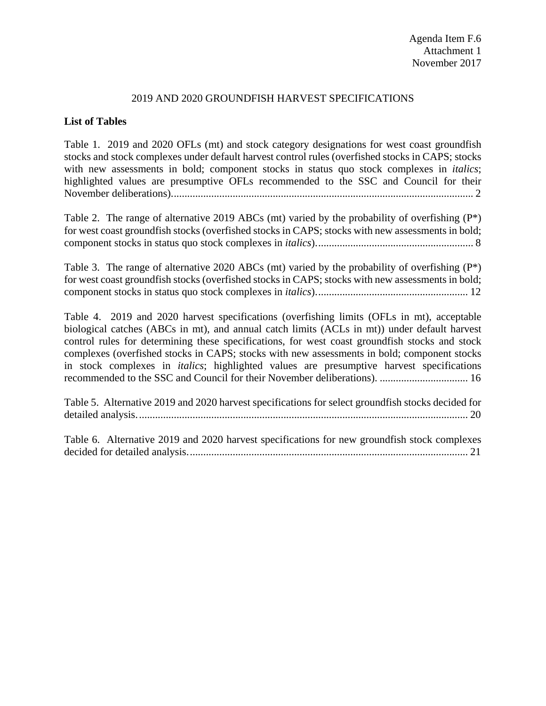## 2019 AND 2020 GROUNDFISH HARVEST SPECIFICATIONS

## **List of Tables**

[Table 1. 2019 and 2020 OFLs \(mt\) and stock category designations for west coast groundfish](#page-1-0)  [stocks and stock complexes under default harvest control rules \(overfished stocks in CAPS; stocks](#page-1-0)  [with new assessments in bold; component stocks in status quo stock](#page-1-0) complexes in *italics*; [highlighted values are presumptive OFLs recommended to the SSC and Council for their](#page-1-0)  [November deliberations\).................................................................................................................](#page-1-0) 2

[Table 2. The range of alternative 2019 ABCs \(mt\) varied by the probability of overfishing \(P\\*\)](#page-7-0)  [for west coast groundfish stocks \(overfished stocks in CAPS; stocks with new assessments in bold;](#page-7-0)  [component stocks in status quo stock complexes in](#page-7-0) *italics*)........................................................... 8

[Table 3. The range of alternative 2020 ABCs \(mt\) varied by the probability of overfishing \(P\\*\)](#page-11-0)  [for west coast groundfish stocks \(overfished stocks in CAPS; stocks with new assessments in bold;](#page-11-0)  [component stocks in status quo stock complexes in](#page-11-0) *italics*)......................................................... 12

[Table 4. 2019 and 2020 harvest specifications \(overfishing limits \(OFLs in mt\), acceptable](#page-15-0)  [biological catches \(ABCs in mt\), and annual catch limits \(ACLs in mt\)\) under default harvest](#page-15-0)  [control rules for determining these specifications, for west coast groundfish stocks and stock](#page-15-0)  [complexes \(overfished stocks in CAPS; stocks with new assessments in bold; component stocks](#page-15-0)  in stock complexes in *italics*[; highlighted values are presumptive harvest specifications](#page-15-0)  [recommended to the SSC and Council for their November deliberations\).](#page-15-0) ................................. 16

[Table 5. Alternative 2019 and 2020 harvest specifications for select groundfish stocks decided for](#page-19-0)  [detailed analysis............................................................................................................................](#page-19-0) 20

[Table 6. Alternative 2019 and 2020 harvest specifications for new groundfish stock complexes](#page-20-0)  [decided for detailed analysis.........................................................................................................](#page-20-0) 21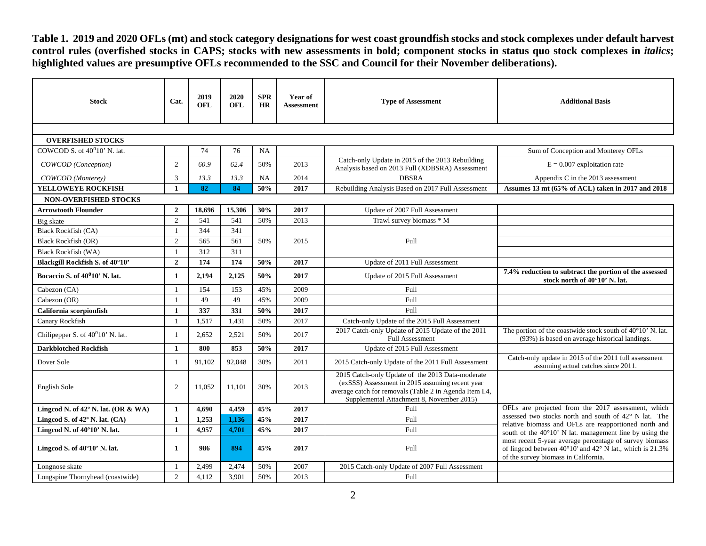**Table 1. 2019 and 2020 OFLs (mt) and stock category designations for west coast groundfish stocks and stock complexes under default harvest control rules (overfished stocks in CAPS; stocks with new assessments in bold; component stocks in status quo stock complexes in** *italics***; highlighted values are presumptive OFLs recommended to the SSC and Council for their November deliberations).**

<span id="page-1-0"></span>

| <b>Stock</b>                                 | Cat.           | 2019<br>OFL | 2020<br><b>OFL</b> | <b>SPR</b><br>HR | Year of<br><b>Assessment</b> | <b>Type of Assessment</b>                                                                                                                                                                                   | <b>Additional Basis</b>                                                                                                                                     |
|----------------------------------------------|----------------|-------------|--------------------|------------------|------------------------------|-------------------------------------------------------------------------------------------------------------------------------------------------------------------------------------------------------------|-------------------------------------------------------------------------------------------------------------------------------------------------------------|
|                                              |                |             |                    |                  |                              |                                                                                                                                                                                                             |                                                                                                                                                             |
| <b>OVERFISHED STOCKS</b>                     |                |             |                    |                  |                              |                                                                                                                                                                                                             |                                                                                                                                                             |
| COWCOD S. of 40 <sup>0</sup> 10' N. lat.     |                | 74          | 76                 | <b>NA</b>        |                              |                                                                                                                                                                                                             | Sum of Conception and Monterey OFLs                                                                                                                         |
| COWCOD (Conception)                          | 2              | 60.9        | 62.4               | 50%              | 2013                         | Catch-only Update in 2015 of the 2013 Rebuilding<br>Analysis based on 2013 Full (XDBSRA) Assessment                                                                                                         | $E = 0.007$ exploitation rate                                                                                                                               |
| COWCOD (Monterey)                            | 3              | 13.3        | 13.3               | <b>NA</b>        | 2014                         | <b>DBSRA</b>                                                                                                                                                                                                | Appendix C in the 2013 assessment                                                                                                                           |
| <b>YELLOWEYE ROCKFISH</b>                    | $\mathbf{1}$   | 82          | 84                 | 50%              | 2017                         | Rebuilding Analysis Based on 2017 Full Assessment                                                                                                                                                           | Assumes 13 mt (65% of ACL) taken in 2017 and 2018                                                                                                           |
| NON-OVERFISHED STOCKS                        |                |             |                    |                  |                              |                                                                                                                                                                                                             |                                                                                                                                                             |
| <b>Arrowtooth Flounder</b>                   | $\mathbf{2}$   | 18,696      | 15,306             | 30%              | 2017                         | Update of 2007 Full Assessment                                                                                                                                                                              |                                                                                                                                                             |
| Big skate                                    | $\overline{2}$ | 541         | 541                | 50%              | 2013                         | Trawl survey biomass * M                                                                                                                                                                                    |                                                                                                                                                             |
| <b>Black Rockfish (CA)</b>                   |                | 344         | 341                |                  |                              |                                                                                                                                                                                                             |                                                                                                                                                             |
| <b>Black Rockfish (OR)</b>                   | 2              | 565         | 561                | 50%              | 2015                         | Full                                                                                                                                                                                                        |                                                                                                                                                             |
| <b>Black Rockfish (WA)</b>                   | $\mathbf{1}$   | 312         | 311                |                  |                              |                                                                                                                                                                                                             |                                                                                                                                                             |
| Blackgill Rockfish S. of 40°10'              | $\overline{2}$ | 174         | 174                | 50%              | 2017                         | Update of 2011 Full Assessment                                                                                                                                                                              |                                                                                                                                                             |
| Bocaccio S. of 40 <sup>0</sup> 10' N. lat.   | 1              | 2,194       | 2,125              | 50%              | 2017                         | Update of 2015 Full Assessment                                                                                                                                                                              | 7.4% reduction to subtract the portion of the assessed<br>stock north of 40°10' N. lat.                                                                     |
| Cabezon (CA)                                 | $\mathbf{1}$   | 154         | 153                | 45%              | 2009                         | Full                                                                                                                                                                                                        |                                                                                                                                                             |
| Cabezon (OR)                                 | $\overline{1}$ | 49          | 49                 | 45%              | 2009                         | Full                                                                                                                                                                                                        |                                                                                                                                                             |
| California scorpionfish                      | $\mathbf{1}$   | 337         | 331                | 50%              | 2017                         | Full                                                                                                                                                                                                        |                                                                                                                                                             |
| Canary Rockfish                              | $\mathbf{1}$   | 1,517       | 1,431              | 50%              | 2017                         | Catch-only Update of the 2015 Full Assessment                                                                                                                                                               |                                                                                                                                                             |
| Chilipepper S. of 40°10' N. lat.             | 1              | 2,652       | 2,521              | 50%              | 2017                         | 2017 Catch-only Update of 2015 Update of the 2011<br>Full Assessment                                                                                                                                        | The portion of the coastwide stock south of $40^{\circ}10'$ N. lat.<br>(93%) is based on average historical landings.                                       |
| <b>Darkblotched Rockfish</b>                 | $\mathbf{1}$   | 800         | 853                | 50%              | 2017                         | Update of 2015 Full Assessment                                                                                                                                                                              |                                                                                                                                                             |
| Dover Sole                                   | $\overline{1}$ | 91,102      | 92,048             | 30%              | 2011                         | 2015 Catch-only Update of the 2011 Full Assessment                                                                                                                                                          | Catch-only update in 2015 of the 2011 full assessment<br>assuming actual catches since 2011.                                                                |
| English Sole                                 | 2              | 11,052      | 11,101             | 30%              | 2013                         | 2015 Catch-only Update of the 2013 Data-moderate<br>(exSSS) Assessment in 2015 assuming recent year<br>average catch for removals (Table 2 in Agenda Item I.4,<br>Supplemental Attachment 8, November 2015) |                                                                                                                                                             |
| Lingcod N. of $42^{\circ}$ N. lat. (OR & WA) | $\mathbf{1}$   | 4.690       | 4.459              | 45%              | 2017                         | Full                                                                                                                                                                                                        | OFLs are projected from the 2017 assessment, which                                                                                                          |
| Lingcod S. of 42° N. lat. (CA)               | $\mathbf{1}$   | 1,253       | 1,136              | 45%              | 2017                         | Full                                                                                                                                                                                                        | assessed two stocks north and south of 42° N lat. The<br>relative biomass and OFLs are reapportioned north and                                              |
| Lingcod N. of 40°10' N. lat.                 | 1              | 4,957       | 4,701              | 45%              | 2017                         | Full                                                                                                                                                                                                        | south of the $40^{\circ}10'$ N lat. management line by using the                                                                                            |
| Lingcod S. of $40^{\circ}10'$ N. lat.        | 1              | 986         | 894                | 45%              | 2017                         | Full                                                                                                                                                                                                        | most recent 5-year average percentage of survey biomass<br>of lingcod between 40°10' and 42° N lat., which is 21.3%<br>of the survey biomass in California. |
| Longnose skate                               | $\mathbf{1}$   | 2,499       | 2,474              | 50%              | 2007                         | 2015 Catch-only Update of 2007 Full Assessment                                                                                                                                                              |                                                                                                                                                             |
| Longspine Thornyhead (coastwide)             | 2              | 4.112       | 3.901              | 50%              | 2013                         | Full                                                                                                                                                                                                        |                                                                                                                                                             |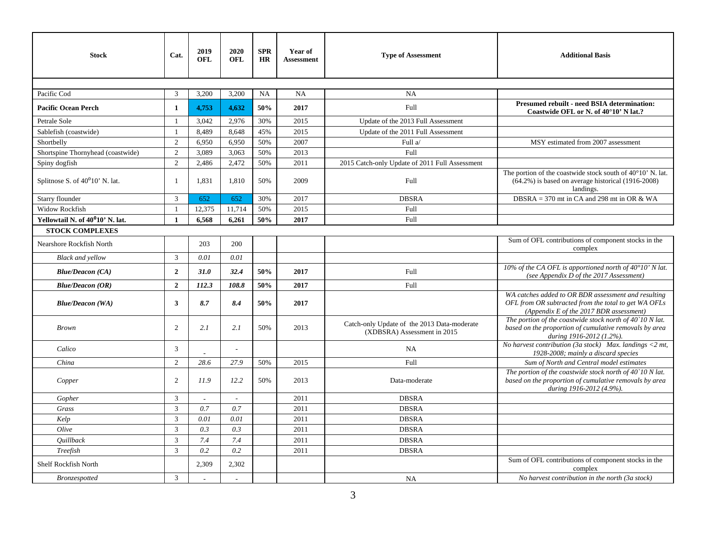| <b>Stock</b>                                 | Cat.           | 2019<br>OFL              | 2020<br>OFL | <b>SPR</b><br><b>HR</b> | Year of<br><b>Assessment</b> | <b>Type of Assessment</b>                                                  | <b>Additional Basis</b>                                                                                                                                 |
|----------------------------------------------|----------------|--------------------------|-------------|-------------------------|------------------------------|----------------------------------------------------------------------------|---------------------------------------------------------------------------------------------------------------------------------------------------------|
|                                              |                |                          |             |                         |                              |                                                                            |                                                                                                                                                         |
| Pacific Cod                                  | 3              | 3,200                    | 3,200       | NA                      | NA                           | <b>NA</b>                                                                  |                                                                                                                                                         |
| <b>Pacific Ocean Perch</b>                   | $\mathbf{1}$   | 4,753                    | 4,632       | 50%                     | 2017                         | Full                                                                       | <b>Presumed rebuilt - need BSIA determination:</b><br>Coastwide OFL or N. of 40°10' N lat.?                                                             |
| Petrale Sole                                 |                | 3,042                    | 2,976       | 30%                     | 2015                         | Update of the 2013 Full Assessment                                         |                                                                                                                                                         |
| Sablefish (coastwide)                        | $\overline{1}$ | 8,489                    | 8,648       | 45%                     | 2015                         | Update of the 2011 Full Assessment                                         |                                                                                                                                                         |
| Shortbelly                                   | $\overline{2}$ | 6,950                    | 6,950       | 50%                     | 2007                         | Full a/                                                                    | MSY estimated from 2007 assessment                                                                                                                      |
| Shortspine Thornyhead (coastwide)            | $\overline{2}$ | 3,089                    | 3,063       | 50%                     | 2013                         | Full                                                                       |                                                                                                                                                         |
| Spiny dogfish                                | $\overline{2}$ | 2,486                    | 2,472       | 50%                     | 2011                         | 2015 Catch-only Update of 2011 Full Assessment                             |                                                                                                                                                         |
| Splitnose S. of $40^010'$ N. lat.            | $\mathbf{1}$   | 1,831                    | 1,810       | 50%                     | 2009                         | Full                                                                       | The portion of the coastwide stock south of $40^{\circ}10'$ N. lat.<br>$(64.2\%)$ is based on average historical $(1916-2008)$<br>landings.             |
| Starry flounder                              | 3              | 652                      | 652         | 30%                     | 2017                         | <b>DBSRA</b>                                                               | DBSRA = 370 mt in CA and 298 mt in OR & WA                                                                                                              |
| Widow Rockfish                               | $\overline{1}$ | 12,375                   | 11,714      | 50%                     | 2015                         | Full                                                                       |                                                                                                                                                         |
| Yellowtail N. of 40 <sup>0</sup> 10' N. lat. | $\mathbf{1}$   | 6,568                    | 6,261       | 50%                     | 2017                         | Full                                                                       |                                                                                                                                                         |
| <b>STOCK COMPLEXES</b>                       |                |                          |             |                         |                              |                                                                            |                                                                                                                                                         |
| Nearshore Rockfish North                     |                | 203                      | 200         |                         |                              |                                                                            | Sum of OFL contributions of component stocks in the<br>complex                                                                                          |
| <b>Black and vellow</b>                      | $\mathfrak{Z}$ | 0.01                     | 0.01        |                         |                              |                                                                            |                                                                                                                                                         |
| <b>Blue/Deacon (CA)</b>                      | $\overline{2}$ | 31.0                     | 32.4        | 50%                     | 2017                         | Full                                                                       | 10% of the CA OFL is apportioned north of 40°10' N lat.<br>(see Appendix D of the 2017 Assessment)                                                      |
| <b>Blue/Deacon (OR)</b>                      | $\overline{2}$ | 112.3                    | 108.8       | 50%                     | 2017                         | Full                                                                       |                                                                                                                                                         |
| <b>Blue/Deacon</b> (WA)                      | $\mathbf{3}$   | 8.7                      | 8.4         | 50%                     | 2017                         |                                                                            | WA catches added to OR BDR assessment and resulting<br>OFL from OR subtracted from the total to get WA OFLs<br>(Appendix E of the 2017 BDR assessment)  |
| <b>Brown</b>                                 | $\overline{2}$ | 2.1                      | 2.1         | 50%                     | 2013                         | Catch-only Update of the 2013 Data-moderate<br>(XDBSRA) Assessment in 2015 | The portion of the coastwide stock north of $40^{\circ}10$ N lat.<br>based on the proportion of cumulative removals by area<br>during 1916-2012 (1.2%). |
| Calico                                       | $\mathfrak{Z}$ |                          |             |                         |                              | <b>NA</b>                                                                  | No harvest contribution (3a stock) Max. landings $\lt 2$ mt,<br>1928-2008; mainly a discard species                                                     |
| China                                        | $\overline{2}$ | 28.6                     | 27.9        | 50%                     | 2015                         | Full                                                                       | Sum of North and Central model estimates                                                                                                                |
| Copper                                       | $\overline{2}$ | 11.9                     | 12.2        | 50%                     | 2013                         | Data-moderate                                                              | The portion of the coastwide stock north of $40^{\circ}10$ N lat.<br>based on the proportion of cumulative removals by area<br>during 1916-2012 (4.9%). |
| Gopher                                       | 3              |                          |             |                         | 2011                         | <b>DBSRA</b>                                                               |                                                                                                                                                         |
| Grass                                        | 3              | 0.7                      | 0.7         |                         | 2011                         | <b>DBSRA</b>                                                               |                                                                                                                                                         |
| Kelp                                         | 3              | 0.01                     | 0.01        |                         | 2011                         | <b>DBSRA</b>                                                               |                                                                                                                                                         |
| Olive                                        | $\mathfrak{Z}$ | 0.3                      | $0.3\,$     |                         | 2011                         | <b>DBSRA</b>                                                               |                                                                                                                                                         |
| <i><b>Quillback</b></i>                      | 3              | 7.4                      | 7.4         |                         | 2011                         | <b>DBSRA</b>                                                               |                                                                                                                                                         |
| Treefish                                     | $\mathbf{3}$   | 0.2                      | 0.2         |                         | 2011                         | <b>DBSRA</b>                                                               |                                                                                                                                                         |
| Shelf Rockfish North                         |                | 2,309                    | 2,302       |                         |                              |                                                                            | Sum of OFL contributions of component stocks in the<br>complex                                                                                          |
| <b>Bronzespotted</b>                         | 3              | $\overline{\phantom{a}}$ |             |                         |                              | NA                                                                         | No harvest contribution in the north (3a stock)                                                                                                         |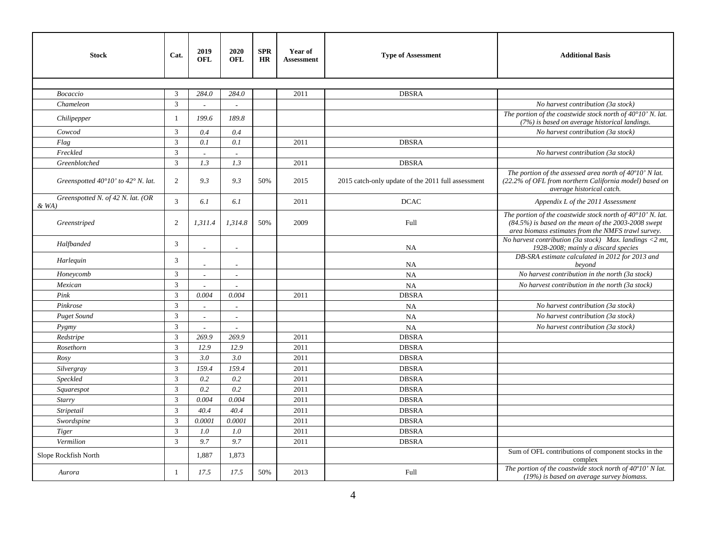| <b>Stock</b>                              | Cat.           | 2019<br><b>OFL</b>       | 2020<br><b>OFL</b>       | <b>SPR</b><br>HR | Year of<br><b>Assessment</b> | <b>Type of Assessment</b>                          | <b>Additional Basis</b>                                                                                                                                                            |  |
|-------------------------------------------|----------------|--------------------------|--------------------------|------------------|------------------------------|----------------------------------------------------|------------------------------------------------------------------------------------------------------------------------------------------------------------------------------------|--|
|                                           |                |                          |                          |                  |                              |                                                    |                                                                                                                                                                                    |  |
| Bocaccio                                  | 3              | 284.0                    | 284.0                    |                  | 2011                         | <b>DBSRA</b>                                       |                                                                                                                                                                                    |  |
| Chameleon                                 | $\mathfrak{Z}$ |                          |                          |                  |                              |                                                    | No harvest contribution (3a stock)                                                                                                                                                 |  |
| Chilipepper                               | $\mathbf{1}$   | 199.6                    | 189.8                    |                  |                              |                                                    | The portion of the coastwide stock north of $40^{\circ}10'$ N. lat.<br>(7%) is based on average historical landings.                                                               |  |
| Cowcod                                    | $\mathfrak{Z}$ | 0.4                      | 0.4                      |                  |                              |                                                    | No harvest contribution (3a stock)                                                                                                                                                 |  |
| Flag                                      | $\mathfrak{Z}$ | 0.1                      | 0.1                      |                  | 2011                         | <b>DBSRA</b>                                       |                                                                                                                                                                                    |  |
| Freckled                                  | $\overline{3}$ |                          |                          |                  |                              |                                                    | No harvest contribution (3a stock)                                                                                                                                                 |  |
| Greenblotched                             | $\mathfrak{Z}$ | 1.3                      | 1.3                      |                  | 2011                         | <b>DBSRA</b>                                       |                                                                                                                                                                                    |  |
| Greenspotted 40°10' to 42° N. lat.        | $\overline{2}$ | 9.3                      | 9.3                      | 50%              | 2015                         | 2015 catch-only update of the 2011 full assessment | The portion of the assessed area north of $40^{\circ}10'$ N lat.<br>(22.2% of OFL from northern California model) based on<br>average historical catch.                            |  |
| Greenspotted N. of 42 N. lat. (OR<br>&WA) | $\mathfrak{Z}$ | 6.1                      | 6.1                      |                  | 2011                         | <b>DCAC</b>                                        | Appendix L of the 2011 Assessment                                                                                                                                                  |  |
| Greenstriped                              | $\overline{2}$ | 1,311.4                  | 1,314.8                  | 50%              | 2009                         | Full                                               | The portion of the coastwide stock north of $40^{\circ}10'$ N. lat.<br>$(84.5%)$ is based on the mean of the 2003-2008 swept<br>area biomass estimates from the NMFS trawl survey. |  |
| Halfbanded                                | $\mathfrak{Z}$ | $\overline{a}$           |                          |                  |                              | <b>NA</b>                                          | No harvest contribution (3a stock) Max. landings $\langle 2 \text{ mt}, \rangle$<br>1928-2008; mainly a discard species                                                            |  |
| Harlequin                                 | 3              |                          |                          |                  |                              | <b>NA</b>                                          | DB-SRA estimate calculated in 2012 for 2013 and<br>beyond                                                                                                                          |  |
| Honeycomb                                 | $\mathfrak{Z}$ | $\overline{\phantom{a}}$ | $\sim$                   |                  |                              | NA                                                 | No harvest contribution in the north (3a stock)                                                                                                                                    |  |
| Mexican                                   | $\mathbf{3}$   |                          |                          |                  |                              | <b>NA</b>                                          | No harvest contribution in the north (3a stock)                                                                                                                                    |  |
| Pink                                      | $\mathfrak{Z}$ | 0.004                    | 0.004                    |                  | 2011                         | <b>DBSRA</b>                                       |                                                                                                                                                                                    |  |
| Pinkrose                                  | $\mathfrak{Z}$ | $\overline{\phantom{a}}$ |                          |                  |                              | <b>NA</b>                                          | No harvest contribution (3a stock)                                                                                                                                                 |  |
| <b>Puget Sound</b>                        | 3              | $\sim$                   | $\overline{\phantom{a}}$ |                  |                              | <b>NA</b>                                          | No harvest contribution (3a stock)                                                                                                                                                 |  |
| P <sub>yg</sub> my                        | $\mathfrak{Z}$ |                          |                          |                  |                              | <b>NA</b>                                          | No harvest contribution (3a stock)                                                                                                                                                 |  |
| Redstripe                                 | 3              | 269.9                    | 269.9                    |                  | 2011                         | <b>DBSRA</b>                                       |                                                                                                                                                                                    |  |
| Rosethorn                                 | $\overline{3}$ | 12.9                     | 12.9                     |                  | 2011                         | <b>DBSRA</b>                                       |                                                                                                                                                                                    |  |
| Rosy                                      | 3              | 3.0                      | 3.0                      |                  | 2011                         | <b>DBSRA</b>                                       |                                                                                                                                                                                    |  |
| Silvergray                                | $\overline{3}$ | 159.4                    | 159.4                    |                  | 2011                         | <b>DBSRA</b>                                       |                                                                                                                                                                                    |  |
| Speckled                                  | $\mathfrak{Z}$ | 0.2                      | 0.2                      |                  | 2011                         | <b>DBSRA</b>                                       |                                                                                                                                                                                    |  |
| Squarespot                                | $\mathbf{3}$   | 0.2                      | 0.2                      |                  | 2011                         | <b>DBSRA</b>                                       |                                                                                                                                                                                    |  |
| Starry                                    | $\mathfrak{Z}$ | 0.004                    | 0.004                    |                  | 2011                         | <b>DBSRA</b>                                       |                                                                                                                                                                                    |  |
| Stripetail                                | $\overline{3}$ | 40.4                     | 40.4                     |                  | 2011                         | <b>DBSRA</b>                                       |                                                                                                                                                                                    |  |
| Swordspine                                | $\mathfrak{Z}$ | 0.0001                   | 0.0001                   |                  | 2011                         | <b>DBSRA</b>                                       |                                                                                                                                                                                    |  |
| Tiger                                     | $\overline{3}$ | 1.0                      | 1.0                      |                  | 2011                         | <b>DBSRA</b>                                       |                                                                                                                                                                                    |  |
| Vermilion                                 | $\overline{3}$ | 9.7                      | 9.7                      |                  | 2011                         | <b>DBSRA</b>                                       |                                                                                                                                                                                    |  |
| Slope Rockfish North                      |                | 1,887                    | 1,873                    |                  |                              |                                                    | Sum of OFL contributions of component stocks in the<br>complex                                                                                                                     |  |
| Aurora                                    |                | 17.5                     | 17.5                     | 50%              | 2013                         | Full                                               | The portion of the coastwide stock north of $40^{\circ}10'$ N lat.<br>(19%) is based on average survey biomass.                                                                    |  |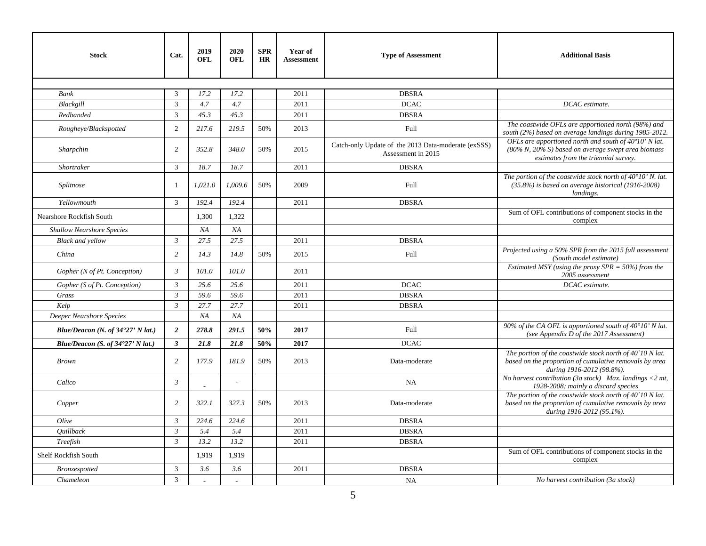| <b>Stock</b>                               | Cat.           | 2019<br><b>OFL</b> | 2020<br><b>OFL</b> | <b>SPR</b><br><b>HR</b> | Year of<br><b>Assessment</b> | <b>Type of Assessment</b>                                                 | <b>Additional Basis</b>                                                                                                                                  |
|--------------------------------------------|----------------|--------------------|--------------------|-------------------------|------------------------------|---------------------------------------------------------------------------|----------------------------------------------------------------------------------------------------------------------------------------------------------|
|                                            |                |                    |                    |                         |                              |                                                                           |                                                                                                                                                          |
| <b>Bank</b>                                | 3              | 17.2               | 17.2               |                         | 2011                         | <b>DBSRA</b>                                                              |                                                                                                                                                          |
| Blackgill                                  | $\mathfrak{Z}$ | 4.7                | 4.7                |                         | 2011                         | <b>DCAC</b>                                                               | DCAC estimate.                                                                                                                                           |
| Redbanded                                  | $\mathfrak{Z}$ | 45.3               | 45.3               |                         | 2011                         | <b>DBSRA</b>                                                              |                                                                                                                                                          |
| Rougheye/Blackspotted                      | $\overline{2}$ | 217.6              | 219.5              | 50%                     | 2013                         | Full                                                                      | The coastwide OFLs are apportioned north (98%) and<br>south (2%) based on average landings during 1985-2012.                                             |
| Sharpchin                                  | $\overline{2}$ | 352.8              | 348.0              | 50%                     | 2015                         | Catch-only Update of the 2013 Data-moderate (exSSS)<br>Assessment in 2015 | OFLs are apportioned north and south of 40°10' N lat.<br>$(80\% N, 20\% S)$ based on average swept area biomass<br>estimates from the triennial survey.  |
| Shortraker                                 | $\mathfrak{Z}$ | 18.7               | 18.7               |                         | 2011                         | <b>DBSRA</b>                                                              |                                                                                                                                                          |
| Splitnose                                  | 1              | 1,021.0            | 1,009.6            | 50%                     | 2009                         | Full                                                                      | The portion of the coastwide stock north of $40^{\circ}10'$ N. lat.<br>$(35.8%)$ is based on average historical (1916-2008)<br>landings.                 |
| Yellowmouth                                | $\mathfrak{Z}$ | 192.4              | 192.4              |                         | 2011                         | <b>DBSRA</b>                                                              |                                                                                                                                                          |
| Nearshore Rockfish South                   |                | 1,300              | 1,322              |                         |                              |                                                                           | Sum of OFL contributions of component stocks in the<br>complex                                                                                           |
| <b>Shallow Nearshore Species</b>           |                | NA                 | NA                 |                         |                              |                                                                           |                                                                                                                                                          |
| <b>Black and yellow</b>                    | $\mathfrak{Z}$ | 27.5               | 27.5               |                         | 2011                         | <b>DBSRA</b>                                                              |                                                                                                                                                          |
| China                                      | $\overline{c}$ | 14.3               | 14.8               | 50%                     | 2015                         | Full                                                                      | Projected using a 50% SPR from the 2015 full assessment<br>(South model estimate)                                                                        |
| Gopher (N of Pt. Conception)               | $\mathfrak{Z}$ | 101.0              | 101.0              |                         | 2011                         |                                                                           | Estimated MSY (using the proxy SPR = $50\%$ ) from the<br>2005 assessment                                                                                |
| Gopher (S of Pt. Conception)               | $\mathfrak{Z}$ | 25.6               | 25.6               |                         | 2011                         | <b>DCAC</b>                                                               | DCAC estimate.                                                                                                                                           |
| Grass                                      | $\mathfrak{Z}$ | 59.6               | 59.6               |                         | 2011                         | <b>DBSRA</b>                                                              |                                                                                                                                                          |
| Kelp                                       | $\mathfrak{Z}$ | 27.7               | 27.7               |                         | 2011                         | <b>DBSRA</b>                                                              |                                                                                                                                                          |
| Deeper Nearshore Species                   |                | NA                 | NA                 |                         |                              |                                                                           |                                                                                                                                                          |
| Blue/Deacon (N. of $34^{\circ}27'$ N lat.) | $\overline{2}$ | 278.8              | 291.5              | 50%                     | 2017                         | Full                                                                      | 90% of the CA OFL is apportioned south of 40°10' N lat.<br>(see Appendix D of the 2017 Assessment)                                                       |
| Blue/Deacon (S. of $34^{\circ}27'$ N lat.) | $\mathbf{3}$   | 21.8               | 21.8               | 50%                     | 2017                         | <b>DCAC</b>                                                               |                                                                                                                                                          |
| <b>Brown</b>                               | $\overline{2}$ | 177.9              | 181.9              | 50%                     | 2013                         | Data-moderate                                                             | The portion of the coastwide stock north of $40^{\circ}10$ N lat.<br>based on the proportion of cumulative removals by area<br>during 1916-2012 (98.8%). |
| Calico                                     | $\mathfrak{Z}$ |                    | $\sim$             |                         |                              | <b>NA</b>                                                                 | No harvest contribution (3a stock) Max. landings <2 mt,<br>1928-2008; mainly a discard species                                                           |
| Copper                                     | $\overline{c}$ | 322.1              | 327.3              | 50%                     | 2013                         | Data-moderate                                                             | The portion of the coastwide stock north of $40^{\circ}10$ N lat.<br>based on the proportion of cumulative removals by area<br>during 1916-2012 (95.1%). |
| Olive                                      | $\mathfrak{Z}$ | 224.6              | 224.6              |                         | 2011                         | <b>DBSRA</b>                                                              |                                                                                                                                                          |
| <i><b>Quillback</b></i>                    | $\mathfrak{Z}$ | 5.4                | 5.4                |                         | 2011                         | <b>DBSRA</b>                                                              |                                                                                                                                                          |
| Treefish                                   | $\mathfrak{Z}$ | 13.2               | 13.2               |                         | 2011                         | <b>DBSRA</b>                                                              |                                                                                                                                                          |
| Shelf Rockfish South                       |                | 1,919              | 1,919              |                         |                              |                                                                           | Sum of OFL contributions of component stocks in the<br>complex                                                                                           |
| Bronzespotted                              | 3              | 3.6                | 3.6                |                         | 2011                         | <b>DBSRA</b>                                                              |                                                                                                                                                          |
| Chameleon                                  | 3              |                    |                    |                         |                              | <b>NA</b>                                                                 | No harvest contribution (3a stock)                                                                                                                       |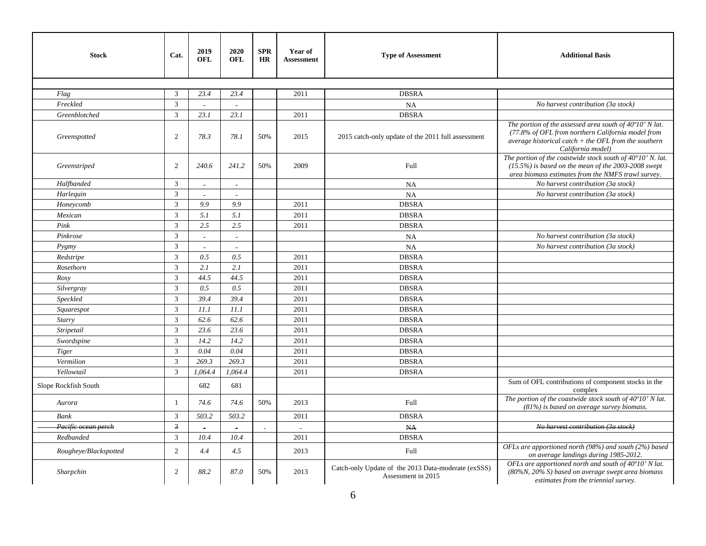| <b>Stock</b>          | Cat.           | 2019<br><b>OFL</b> | 2020<br><b>OFL</b>    | <b>SPR</b><br><b>HR</b> | Year of<br><b>Assessment</b> | <b>Type of Assessment</b>                                                 | <b>Additional Basis</b>                                                                                                                                                                     |
|-----------------------|----------------|--------------------|-----------------------|-------------------------|------------------------------|---------------------------------------------------------------------------|---------------------------------------------------------------------------------------------------------------------------------------------------------------------------------------------|
|                       |                |                    |                       |                         |                              |                                                                           |                                                                                                                                                                                             |
| Flag                  | 3              | 23.4               | 23.4                  |                         | 2011                         | <b>DBSRA</b>                                                              |                                                                                                                                                                                             |
| Freckled              | $\overline{3}$ | $\overline{a}$     | $\overline{a}$        |                         |                              | <b>NA</b>                                                                 | No harvest contribution (3a stock)                                                                                                                                                          |
| Greenblotched         | $\overline{3}$ | 23.1               | 23.1                  |                         | 2011                         | <b>DBSRA</b>                                                              |                                                                                                                                                                                             |
| Greenspotted          | 2              | 78.3               | 78.1                  | 50%                     | 2015                         | 2015 catch-only update of the 2011 full assessment                        | The portion of the assessed area south of 40°10' N lat.<br>(77.8% of OFL from northern California model from<br>average historical catch $+$ the OFL from the southern<br>California model) |
| Greenstriped          | $\overline{2}$ | 240.6              | 241.2                 | 50%                     | 2009                         | Full                                                                      | The portion of the coastwide stock south of $40^{\circ}10'$ N. lat.<br>$(15.5%)$ is based on the mean of the 2003-2008 swept<br>area biomass estimates from the NMFS trawl survey.          |
| Halfbanded            | $\mathbf{3}$   | $\overline{a}$     | $\sim$                |                         |                              | <b>NA</b>                                                                 | No harvest contribution (3a stock)                                                                                                                                                          |
| Harlequin             | $\mathfrak{Z}$ |                    |                       |                         |                              | NA                                                                        | No harvest contribution (3a stock)                                                                                                                                                          |
| Honeycomb             | $\mathbf{3}$   | 9.9                | 9.9                   |                         | 2011                         | <b>DBSRA</b>                                                              |                                                                                                                                                                                             |
| Mexican               | 3              | 5.1                | 5.1                   |                         | 2011                         | <b>DBSRA</b>                                                              |                                                                                                                                                                                             |
| Pink                  | $\mathfrak{Z}$ | 2.5                | 2.5                   |                         | 2011                         | <b>DBSRA</b>                                                              |                                                                                                                                                                                             |
| Pinkrose              | 3              | $\overline{a}$     |                       |                         |                              | <b>NA</b>                                                                 | No harvest contribution (3a stock)                                                                                                                                                          |
| Pygmy                 | 3              | $\sim$             | $\tilde{\phantom{a}}$ |                         |                              | <b>NA</b>                                                                 | No harvest contribution (3a stock)                                                                                                                                                          |
| Redstripe             | $\mathfrak{Z}$ | 0.5                | 0.5                   |                         | 2011                         | <b>DBSRA</b>                                                              |                                                                                                                                                                                             |
| Rosethorn             | 3              | 2.1                | 2.1                   |                         | 2011                         | <b>DBSRA</b>                                                              |                                                                                                                                                                                             |
| Rosy                  | 3              | 44.5               | 44.5                  |                         | 2011                         | <b>DBSRA</b>                                                              |                                                                                                                                                                                             |
| Silvergray            | $\sqrt{3}$     | 0.5                | 0.5                   |                         | 2011                         | <b>DBSRA</b>                                                              |                                                                                                                                                                                             |
| Speckled              | $\mathbf{3}$   | 39.4               | 39.4                  |                         | 2011                         | <b>DBSRA</b>                                                              |                                                                                                                                                                                             |
| Squarespot            | 3              | 11.1               | 11.1                  |                         | 2011                         | <b>DBSRA</b>                                                              |                                                                                                                                                                                             |
| Starry                | $\mathfrak{Z}$ | 62.6               | 62.6                  |                         | 2011                         | <b>DBSRA</b>                                                              |                                                                                                                                                                                             |
| Stripetail            | 3              | 23.6               | 23.6                  |                         | 2011                         | <b>DBSRA</b>                                                              |                                                                                                                                                                                             |
| Swordspine            | $\mathfrak{Z}$ | 14.2               | 14.2                  |                         | 2011                         | <b>DBSRA</b>                                                              |                                                                                                                                                                                             |
| Tiger                 | $\mathfrak{Z}$ | 0.04               | 0.04                  |                         | 2011                         | <b>DBSRA</b>                                                              |                                                                                                                                                                                             |
| Vermilion             | 3              | 269.3              | 269.3                 |                         | 2011                         | <b>DBSRA</b>                                                              |                                                                                                                                                                                             |
| Yellowtail            | 3              | 1,064.4            | 1,064.4               |                         | 2011                         | <b>DBSRA</b>                                                              |                                                                                                                                                                                             |
| Slope Rockfish South  |                | 682                | 681                   |                         |                              |                                                                           | Sum of OFL contributions of component stocks in the<br>complex                                                                                                                              |
| Aurora                | $\overline{1}$ | 74.6               | 74.6                  | 50%                     | 2013                         | Full                                                                      | The portion of the coastwide stock south of $40^{\circ}10'$ N lat.<br>$(81%)$ is based on average survey biomass.                                                                           |
| Bank                  | 3              | 503.2              | 503.2                 |                         | 2011                         | <b>DBSRA</b>                                                              |                                                                                                                                                                                             |
| Pacific ocean perch   | $\overline{3}$ | $\blacksquare$     | $\blacksquare$        | $\sim$                  | $\sim$                       | N <sub>A</sub>                                                            | No harvest contribution (3a stock)                                                                                                                                                          |
| Redbanded             | $\mathfrak{Z}$ | 10.4               | 10.4                  |                         | 2011                         | <b>DBSRA</b>                                                              |                                                                                                                                                                                             |
| Rougheye/Blackspotted | 2              | 4.4                | 4.5                   |                         | 2013                         | Full                                                                      | OFLs are apportioned north (98%) and south (2%) based<br>on average landings during 1985-2012.                                                                                              |
| Sharpchin             | 2              | 88.2               | 87.0                  | 50%                     | 2013                         | Catch-only Update of the 2013 Data-moderate (exSSS)<br>Assessment in 2015 | OFLs are apportioned north and south of $40^{\circ}10'$ N lat.<br>(80%N, 20% S) based on average swept area biomass<br>estimates from the triennial survey.                                 |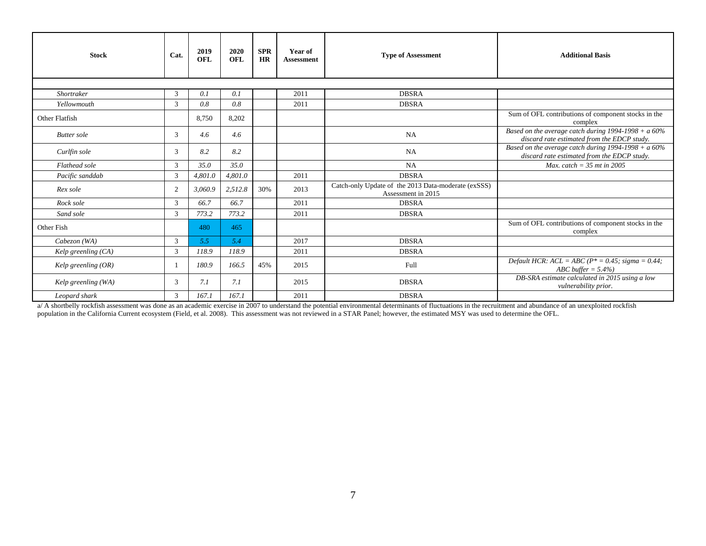| <b>Stock</b>          | Cat.           | 2019<br><b>OFL</b> | 2020<br><b>OFL</b> | <b>SPR</b><br><b>HR</b> | Year of<br><b>Assessment</b> | <b>Type of Assessment</b>                                                 | <b>Additional Basis</b>                                                                               |
|-----------------------|----------------|--------------------|--------------------|-------------------------|------------------------------|---------------------------------------------------------------------------|-------------------------------------------------------------------------------------------------------|
|                       |                |                    |                    |                         |                              |                                                                           |                                                                                                       |
| <b>Shortraker</b>     | 3              | 0.1                | 0.1                |                         | 2011                         | <b>DBSRA</b>                                                              |                                                                                                       |
| Yellowmouth           | 3              | 0.8                | 0.8                |                         | 2011                         | <b>DBSRA</b>                                                              |                                                                                                       |
| Other Flatfish        |                | 8.750              | 8,202              |                         |                              |                                                                           | Sum of OFL contributions of component stocks in the<br>complex                                        |
| <b>Butter</b> sole    | 3              | 4.6                | 4.6                |                         |                              | NA                                                                        | Based on the average catch during $1994-1998 + a 60%$<br>discard rate estimated from the EDCP study.  |
| Curlfin sole          | 3              | 8.2                | 8.2                |                         |                              | NA                                                                        | Based on the average catch during $1994-1998 + a 60\%$<br>discard rate estimated from the EDCP study. |
| Flathead sole         | 3              | 35.0               | 35.0               |                         |                              | NA                                                                        | Max. catch = $35$ mt in 2005                                                                          |
| Pacific sanddab       | 3              | 4,801.0            | 4,801.0            |                         | 2011                         | <b>DBSRA</b>                                                              |                                                                                                       |
| Rex sole              | 2              | 3,060.9            | 2,512.8            | 30%                     | 2013                         | Catch-only Update of the 2013 Data-moderate (exSSS)<br>Assessment in 2015 |                                                                                                       |
| Rock sole             | $\mathfrak{Z}$ | 66.7               | 66.7               |                         | 2011                         | <b>DBSRA</b>                                                              |                                                                                                       |
| Sand sole             | $\mathfrak{Z}$ | 773.2              | 773.2              |                         | 2011                         | <b>DBSRA</b>                                                              |                                                                                                       |
| Other Fish            |                | 480                | 465                |                         |                              |                                                                           | Sum of OFL contributions of component stocks in the<br>complex                                        |
| Cabezon (WA)          | 3              | 5.5                | 5.4                |                         | 2017                         | <b>DBSRA</b>                                                              |                                                                                                       |
| Kelp greenling $(CA)$ | 3              | 118.9              | 118.9              |                         | 2011                         | <b>DBSRA</b>                                                              |                                                                                                       |
| Kelp greenling $(OR)$ |                | 180.9              | 166.5              | 45%                     | 2015                         | Full                                                                      | Default HCR: $ACL = ABC (P^* = 0.45; sigma = 0.44;$<br>ABC buffer $= 5.4\%$                           |
| Kelp greenling (WA)   | 3              | 7.1                | 7.1                |                         | 2015                         | <b>DBSRA</b>                                                              | DB-SRA estimate calculated in 2015 using a low<br>vulnerability prior.                                |
| Leopard shark         | 3              | 167.1              | 167.1              |                         | 2011                         | <b>DBSRA</b>                                                              |                                                                                                       |

a/ A shortbelly rockfish assessment was done as an academic exercise in 2007 to understand the potential environmental determinants of fluctuations in the recruitment and abundance of an unexploited rockfish population in the California Current ecosystem (Field, et al. 2008). This assessment was not reviewed in a STAR Panel; however, the estimated MSY was used to determine the OFL.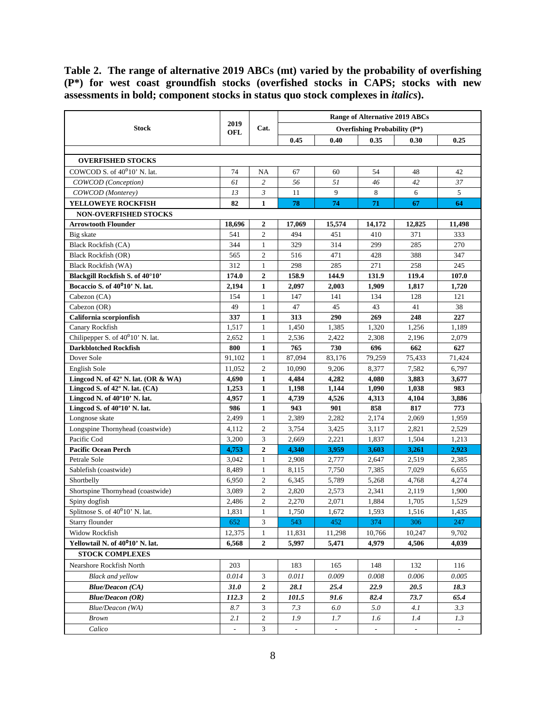<span id="page-7-0"></span>**Table 2. The range of alternative 2019 ABCs (mt) varied by the probability of overfishing (P\*) for west coast groundfish stocks (overfished stocks in CAPS; stocks with new assessments in bold; component stocks in status quo stock complexes in** *italics***).**

|                                               |                          |                  | <b>Range of Alternative 2019 ABCs</b> |                          |                                 |        |          |  |  |
|-----------------------------------------------|--------------------------|------------------|---------------------------------------|--------------------------|---------------------------------|--------|----------|--|--|
| <b>Stock</b>                                  | 2019<br><b>OFL</b>       | Cat.             |                                       |                          | Overfishing Probability $(P^*)$ |        |          |  |  |
|                                               |                          |                  | 0.45                                  | 0.40                     | 0.35                            | 0.30   | 0.25     |  |  |
|                                               |                          |                  |                                       |                          |                                 |        |          |  |  |
| <b>OVERFISHED STOCKS</b>                      |                          |                  |                                       |                          |                                 |        |          |  |  |
| COWCOD S. of $40^010$ ' N. lat.               | 74                       | NA               | 67                                    | 60                       | 54                              | 48     | 42       |  |  |
| COWCOD (Conception)                           | 61                       | $\overline{c}$   | 56                                    | 51                       | 46                              | 42     | 37       |  |  |
| COWCOD (Monterey)                             | 13                       | 3                | 11                                    | 9                        | 8                               | 6      | 5        |  |  |
| YELLOWEYE ROCKFISH                            | 82                       | $\mathbf{1}$     | 78                                    | 74                       | 71                              | 67     | 64       |  |  |
| <b>NON-OVERFISHED STOCKS</b>                  |                          |                  |                                       |                          |                                 |        |          |  |  |
| <b>Arrowtooth Flounder</b>                    | 18,696                   | $\overline{2}$   | 17,069                                | 15,574                   | 14,172                          | 12,825 | 11,498   |  |  |
| Big skate                                     | 541                      | $\mathfrak{2}$   | 494                                   | 451                      | 410                             | 371    | 333      |  |  |
| <b>Black Rockfish (CA)</b>                    | 344                      | 1                | 329                                   | 314                      | 299                             | 285    | 270      |  |  |
| <b>Black Rockfish (OR)</b>                    | 565                      | $\overline{c}$   | 516                                   | 471                      | 428                             | 388    | 347      |  |  |
| Black Rockfish (WA)                           | 312                      | 1                | 298                                   | 285                      | 271                             | 258    | 245      |  |  |
| Blackgill Rockfish S. of 40°10'               | 174.0                    | $\boldsymbol{2}$ | 158.9                                 | 144.9                    | 131.9                           | 119.4  | 107.0    |  |  |
| Bocaccio S. of 40 <sup>0</sup> 10' N. lat.    | 2,194                    | 1                | 2,097                                 | 2,003                    | 1,909                           | 1,817  | 1,720    |  |  |
| Cabezon (CA)                                  | 154                      | $\mathbf{1}$     | 147                                   | 141                      | 134                             | 128    | 121      |  |  |
| Cabezon (OR)                                  | 49                       | $\mathbf{1}$     | 47                                    | 45                       | 43                              | 41     | 38       |  |  |
| California scorpionfish                       | 337                      | $\mathbf{1}$     | 313                                   | 290                      | 269                             | 248    | 227      |  |  |
| Canary Rockfish                               | 1,517                    | $\mathbf{1}$     | 1,450                                 | 1,385                    | 1,320                           | 1,256  | 1,189    |  |  |
| Chilipepper S. of 40 <sup>0</sup> 10' N. lat. | 2,652                    | $\mathbf{1}$     | 2,536                                 | 2,422                    | 2,308                           | 2,196  | 2,079    |  |  |
| <b>Darkblotched Rockfish</b>                  | 800                      | $\mathbf{1}$     | 765                                   | 730                      | 696                             | 662    | 627      |  |  |
| Dover Sole                                    | 91,102                   | 1                | 87,094                                | 83,176                   | 79,259                          | 75,433 | 71,424   |  |  |
| English Sole                                  | 11,052                   | $\overline{c}$   | 10,090                                | 9,206                    | 8,377                           | 7,582  | 6,797    |  |  |
| Lingcod N. of 42° N. lat. (OR & WA)           | 4,690                    | $\mathbf{1}$     | 4,484                                 | 4,282                    | 4,080                           | 3,883  | 3,677    |  |  |
| Lingcod S. of $42^{\circ}$ N. lat. (CA)       | 1,253                    | 1                | 1,198                                 | 1,144                    | 1,090                           | 1,038  | 983      |  |  |
| Lingcod N. of 40°10' N. lat.                  | 4,957                    | $\mathbf{1}$     | 4,739                                 | 4,526                    | 4,313                           | 4,104  | 3,886    |  |  |
| Lingcod S. of 40°10' N. lat.                  | 986                      | $\mathbf{1}$     | 943                                   | 901                      | 858                             | 817    | 773      |  |  |
| Longnose skate                                | 2,499                    | $\mathbf{1}$     | 2,389                                 | 2,282                    | 2,174                           | 2,069  | 1,959    |  |  |
| Longspine Thornyhead (coastwide)              | 4,112                    | $\mathfrak{2}$   | 3,754                                 | 3,425                    | 3,117                           | 2,821  | 2,529    |  |  |
| Pacific Cod                                   | 3,200                    | 3                | 2,669                                 | 2,221                    | 1,837                           | 1,504  | 1,213    |  |  |
| <b>Pacific Ocean Perch</b>                    | 4,753                    | $\mathbf{2}$     | 4,340                                 | 3,959                    | 3,603                           | 3,261  | 2,923    |  |  |
| Petrale Sole                                  | 3.042                    | $\mathbf{1}$     | 2,908                                 | 2,777                    | 2,647                           | 2,519  | 2,385    |  |  |
| Sablefish (coastwide)                         | 8,489                    | $\mathbf{1}$     | 8,115                                 | 7,750                    | 7,385                           | 7,029  | 6,655    |  |  |
| Shortbelly                                    | 6,950                    | $\mathfrak{2}$   | 6,345                                 | 5,789                    | 5,268                           | 4,768  | 4,274    |  |  |
| Shortspine Thornyhead (coastwide)             | 3,089                    | $\overline{c}$   | 2,820                                 | 2,573                    | 2,341                           | 2,119  | 1,900    |  |  |
| Spiny dogfish                                 | 2,486                    | $\overline{c}$   | 2,270                                 | 2,071                    | 1,884                           | 1,705  | 1,529    |  |  |
| Splitnose S. of $40^010'$ N. lat.             | 1,831                    | $\mathbf{1}$     | 1,750                                 | 1,672                    | 1,593                           | 1,516  | 1,435    |  |  |
| Starry flounder                               | 652                      | 3                | 543                                   | 452                      | 374                             | 306    | 247      |  |  |
| <b>Widow Rockfish</b>                         | 12,375                   | 1                | 11,831                                | 11,298                   | 10,766                          | 10,247 | 9,702    |  |  |
| Yellowtail N. of 40 <sup>0</sup> 10' N. lat.  | 6,568                    | 2                | 5,997                                 | 5,471                    | 4,979                           | 4,506  | 4,039    |  |  |
| <b>STOCK COMPLEXES</b>                        |                          |                  |                                       |                          |                                 |        |          |  |  |
| Nearshore Rockfish North                      | 203                      |                  | 183                                   | 165                      | 148                             | 132    | 116      |  |  |
| <b>Black and yellow</b>                       | 0.014                    | 3                | 0.011                                 | 0.009                    | 0.008                           | 0.006  | 0.005    |  |  |
| <b>Blue/Deacon (CA)</b>                       | <b>31.0</b>              | 2                | 28.1                                  | 25.4                     | 22.9                            | 20.5   | 18.3     |  |  |
| Blue/Deacon (OR)                              | 112.3                    | 2                | 101.5                                 | 91.6                     | 82.4                            | 73.7   | 65.4     |  |  |
| Blue/Deacon (WA)                              | 8.7                      | 3                | 7.3                                   | 6.0                      | 5.0                             | 4.1    | 3.3      |  |  |
| <b>Brown</b>                                  | 2.1                      | 2                | 1.9                                   | 1.7                      | 1.6                             | 1.4    | 1.3      |  |  |
| Calico                                        | $\overline{\phantom{a}}$ | 3                | $\Box$                                | $\overline{\phantom{a}}$ | $\overline{\phantom{a}}$        | $\sim$ | $\omega$ |  |  |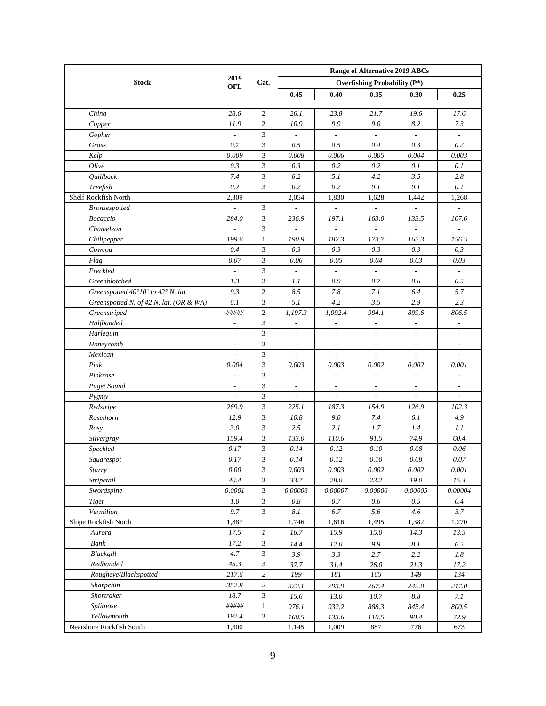|                                         |                          |                             | <b>Range of Alternative 2019 ABCs</b> |                          |                                     |                          |                          |  |  |  |
|-----------------------------------------|--------------------------|-----------------------------|---------------------------------------|--------------------------|-------------------------------------|--------------------------|--------------------------|--|--|--|
| <b>Stock</b>                            | 2019                     | Cat.                        |                                       |                          | <b>Overfishing Probability (P*)</b> |                          |                          |  |  |  |
|                                         | OFL                      |                             | 0.45                                  | 0.40                     | 0.35                                | 0.30                     | 0.25                     |  |  |  |
|                                         |                          |                             |                                       |                          |                                     |                          |                          |  |  |  |
| China                                   | 28.6                     | 2                           | 26.1                                  | 23.8                     | 21.7                                | 19.6                     | 17.6                     |  |  |  |
| Copper                                  | 11.9                     | $\mathfrak{2}$              | 10.9                                  | 9.9                      | 9.0                                 | 8.2                      | 7.3                      |  |  |  |
| Gopher                                  |                          | 3                           | $\frac{1}{2}$                         | $\mathbf{r}$             |                                     | $\overline{\phantom{a}}$ |                          |  |  |  |
| Grass                                   | 0.7                      | $\mathfrak{Z}$              | 0.5                                   | 0.5                      | 0.4                                 | 0.3                      | 0.2                      |  |  |  |
| Kelp                                    | 0.009                    | 3                           | 0.008                                 | 0.006                    | 0.005                               | 0.004                    | 0.003                    |  |  |  |
| Olive                                   | 0.3                      | 3                           | 0.3                                   | 0.2                      | 0.2                                 | 0.1                      | 0.1                      |  |  |  |
| Quillback                               | 7.4                      | 3                           | 6.2                                   | 5.1                      | 4.2                                 | 3.5                      | 2.8                      |  |  |  |
| Treefish                                | 0.2                      | 3                           | 0.2                                   | 0.2                      | 0.1                                 | 0.1                      | 0.1                      |  |  |  |
| Shelf Rockfish North                    | 2,309                    |                             | 2,054                                 | 1,830                    | 1,628                               | 1,442                    | 1,268                    |  |  |  |
| Bronzespotted                           |                          | 3                           |                                       |                          |                                     | $\overline{a}$           |                          |  |  |  |
| Bocaccio                                | 284.0                    | 3                           | 236.9                                 | 197.1                    | 163.0                               | 133.5                    | 107.6                    |  |  |  |
| Chameleon                               |                          | 3                           |                                       |                          |                                     |                          |                          |  |  |  |
| Chilipepper                             | 199.6                    | $\mathbf{1}$                | 190.9                                 | 182.3                    | 173.7                               | 165.3                    | 156.5                    |  |  |  |
| Cowcod                                  | 0.4                      | 3                           | 0.3                                   | 0.3                      | 0.3                                 | 0.3                      | 0.3                      |  |  |  |
| Flag                                    | 0.07                     | 3                           | 0.06                                  | 0.05                     | 0.04                                | 0.03                     | 0.03                     |  |  |  |
| Freckled                                | $\overline{\phantom{a}}$ | 3                           | $\Box$                                | $\sim$                   | $\overline{\phantom{a}}$            | $\sim$                   | $\overline{\phantom{a}}$ |  |  |  |
| Greenblotched                           | 1.3                      | 3                           | 1.1                                   | 0.9                      | 0.7                                 | 0.6                      | 0.5                      |  |  |  |
| Greenspotted 40°10' to 42° N. lat.      | 9.3                      | $\overline{c}$              | 8.5                                   | 7.8                      | 7.1                                 | 6.4                      | 5.7                      |  |  |  |
| Greenspotted N. of 42 N. lat. (OR & WA) | 6.1                      | 3                           | 5.1                                   | 4.2                      | 3.5                                 | 2.9                      | 2.3                      |  |  |  |
| Greenstriped                            | #####                    | $\overline{2}$              | 1,197.3                               | 1,092.4                  | 994.1                               | 899.6                    | 806.5                    |  |  |  |
| Halfbanded                              | $\overline{\phantom{a}}$ | 3                           | $\overline{\phantom{a}}$              | $\frac{1}{2}$            | $\overline{\phantom{a}}$            | $\overline{\phantom{a}}$ | $\frac{1}{2}$            |  |  |  |
| Harlequin                               | $\overline{\phantom{a}}$ | $\mathfrak{Z}$              | $\frac{1}{2}$                         | $\overline{\phantom{a}}$ | $\overline{\phantom{a}}$            | $\overline{\phantom{a}}$ | $\overline{\phantom{a}}$ |  |  |  |
| Honeycomb                               | $\overline{\phantom{a}}$ | 3                           | $\overline{\phantom{a}}$              | $\blacksquare$           | $\overline{\phantom{a}}$            | $\blacksquare$           | $\overline{\phantom{a}}$ |  |  |  |
| Mexican                                 | $\overline{a}$           | 3                           | $\overline{\phantom{a}}$              | $\overline{\phantom{a}}$ | $\overline{\phantom{a}}$            | $\blacksquare$           | $\overline{\phantom{a}}$ |  |  |  |
| Pink                                    | 0.004                    | 3                           | 0.003                                 | 0.003                    | 0.002                               | 0.002                    | 0.001                    |  |  |  |
| Pinkrose                                |                          | 3                           | $\frac{1}{2}$                         | $\overline{\phantom{a}}$ |                                     | $\overline{\phantom{a}}$ | $\frac{1}{2}$            |  |  |  |
| <b>Puget Sound</b>                      |                          | 3                           |                                       | $\overline{\phantom{a}}$ | $\overline{\phantom{a}}$            | $\overline{\phantom{a}}$ | $\overline{\phantom{a}}$ |  |  |  |
| Pygmy                                   | $\overline{a}$           | 3                           | $\frac{1}{2}$                         | $\overline{a}$           | $\overline{\phantom{a}}$            | $\frac{1}{2}$            | $\frac{1}{2}$            |  |  |  |
| Redstripe                               | 269.9                    | 3                           | 225.1                                 | 187.3                    | 154.9                               | 126.9                    | 102.3                    |  |  |  |
| Rosethorn                               | 12.9                     | 3                           | 10.8                                  | 9.0                      | 7.4                                 | 6.1                      | 4.9                      |  |  |  |
| Rosy                                    | 3.0                      | 3                           | 2.5                                   | 2.1                      | 1.7                                 | 1.4                      | 1.1                      |  |  |  |
| Silvergray                              | 159.4                    | 3                           | 133.0                                 | 110.6                    | 91.5                                | 74.9                     | 60.4                     |  |  |  |
| Speckled                                | 0.17                     | 3                           | 0.14                                  | 0.12                     | 0.10                                | 0.08                     | 0.06                     |  |  |  |
| Squarespot                              | 0.17                     | 3                           | 0.14                                  | 0.12                     | 0.10                                | 0.08                     | $0.07\,$                 |  |  |  |
| <b>Starry</b>                           | $0.00\,$                 | $\mathfrak{Z}$              | 0.003                                 | 0.003                    | 0.002                               | 0.002                    | 0.001                    |  |  |  |
| Stripetail                              | 40.4                     | 3                           | 33.7                                  | 28.0                     | 23.2                                | 19.0                     | 15.3                     |  |  |  |
| Swordspine                              | 0.0001                   | $\mathfrak{Z}$              | 0.00008                               | 0.00007                  | 0.00006                             | 0.00005                  | 0.00004                  |  |  |  |
| Tiger                                   | 1.0                      | $\ensuremath{\mathfrak{Z}}$ | 0.8                                   | 0.7                      | 0.6                                 | 0.5                      | 0.4                      |  |  |  |
| Vermilion                               | 9.7                      | $\mathfrak{Z}$              | $8.1\,$                               | $6.7\,$                  | 5.6                                 | 4.6                      | 3.7                      |  |  |  |
| Slope Rockfish North                    | 1,887                    |                             | 1,746                                 | 1,616                    | 1,495                               | 1,382                    | 1,270                    |  |  |  |
| Aurora                                  | 17.5                     | $\boldsymbol{l}$            | 16.7                                  | 15.9                     | 15.0                                | 14.3                     | 13.5                     |  |  |  |
| Bank                                    | 17.2                     | $\mathfrak{Z}$              | 14.4                                  | 12.0                     | 9.9                                 | 8.1                      | 6.5                      |  |  |  |
| Blackgill                               | 4.7                      | 3                           | 3.9                                   | 3.3                      | 2.7                                 | 2.2                      | $1.8\,$                  |  |  |  |
| Redbanded                               | 45.3                     | 3                           | 37.7                                  | 31.4                     | 26.0                                | 21.3                     | 17.2                     |  |  |  |
| Rougheye/Blackspotted                   | 217.6                    | $\overline{c}$              | 199                                   | 181                      | 165                                 | 149                      | 134                      |  |  |  |
| Sharpchin                               | 352.8                    | $\overline{c}$              | 322.1                                 | 293.9                    | 267.4                               | 242.0                    | 217.0                    |  |  |  |
| Shortraker                              | 18.7                     | $\mathfrak{Z}$              | 15.6                                  | 13.0                     | 10.7                                | $8.8\,$                  | 7.1                      |  |  |  |
| Splitnose                               | #####                    | $\mathbf{1}$                | 976.1                                 | 932.2                    | 888.3                               | 845.4                    | 800.5                    |  |  |  |
| Yellowmouth                             | 192.4                    | 3                           | 160.5                                 | 133.6                    | 110.5                               | 90.4                     | 72.9                     |  |  |  |
| Nearshore Rockfish South                | 1,300                    |                             | 1,145                                 | 1,009                    | 887                                 | 776                      | 673                      |  |  |  |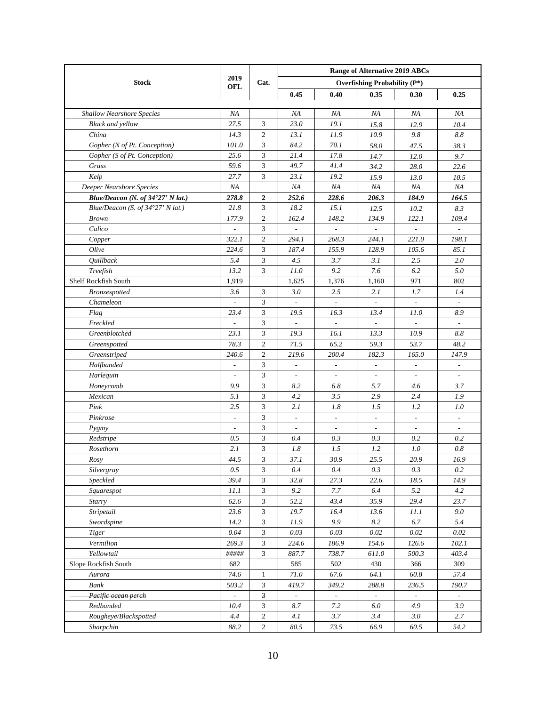|                                   |                          |                | <b>Range of Alternative 2019 ABCs</b> |                          |                                     |                          |                          |  |  |  |
|-----------------------------------|--------------------------|----------------|---------------------------------------|--------------------------|-------------------------------------|--------------------------|--------------------------|--|--|--|
| <b>Stock</b>                      | 2019                     | Cat.           |                                       |                          | <b>Overfishing Probability (P*)</b> |                          |                          |  |  |  |
|                                   | OFL                      |                | 0.45                                  | 0.40                     | 0.35                                | 0.30                     | 0.25                     |  |  |  |
|                                   |                          |                |                                       |                          |                                     |                          |                          |  |  |  |
| <b>Shallow Nearshore Species</b>  | NA                       |                | ΝA                                    | ΝA                       | ΝA                                  | ΝA                       | ΝA                       |  |  |  |
| <b>Black and yellow</b>           | 27.5                     | 3              | 23.0                                  | 19.1                     | 15.8                                | 12.9                     | 10.4                     |  |  |  |
| China                             | 14.3                     | $\mathfrak{2}$ | 13.1                                  | 11.9                     | 10.9                                | 9.8                      | 8.8                      |  |  |  |
| Gopher (N of Pt. Conception)      | 101.0                    | 3              | 84.2                                  | 70.1                     | 58.0                                | 47.5                     | 38.3                     |  |  |  |
| Gopher (S of Pt. Conception)      | 25.6                     | 3              | 21.4                                  | 17.8                     | 14.7                                | 12.0                     | 9.7                      |  |  |  |
| Grass                             | 59.6                     | 3              | 49.7                                  | 41.4                     | 34.2                                | 28.0                     | 22.6                     |  |  |  |
| Kelp                              | 27.7                     | 3              | 23.1                                  | 19.2                     | 15.9                                | 13.0                     | 10.5                     |  |  |  |
| Deeper Nearshore Species          | NA                       |                | ΝA                                    | ΝA                       | ΝA                                  | NA                       | ΝA                       |  |  |  |
| Blue/Deacon (N. of 34°27' N lat.) | 278.8                    | $\mathbf{2}$   | 252.6                                 | 228.6                    | 206.3                               | 184.9                    | 164.5                    |  |  |  |
| Blue/Deacon (S. of 34°27' N lat.) | 21.8                     | 3              | 18.2                                  | 15.1                     | 12.5                                | 10.2                     | 8.3                      |  |  |  |
| <b>Brown</b>                      | 177.9                    | $\mathfrak{2}$ | 162.4                                 | 148.2                    | 134.9                               | 122.1                    | 109.4                    |  |  |  |
| Calico                            |                          | 3              |                                       |                          |                                     |                          |                          |  |  |  |
| Copper                            | 322.1                    | $\mathfrak{2}$ | 294.1                                 | 268.3                    | 244.1                               | 221.0                    | 198.1                    |  |  |  |
| Olive                             | 224.6                    | 3              | 187.4                                 | 155.9                    | 128.9                               | 105.6                    | 85.1                     |  |  |  |
| Quillback                         | 5.4                      | 3              | 4.5                                   | 3.7                      | 3.1                                 | 2.5                      | 2.0                      |  |  |  |
| Treefish                          | 13.2                     | 3              | 11.0                                  | 9.2                      | 7.6                                 | 6.2                      | 5.0                      |  |  |  |
| Shelf Rockfish South              | 1,919                    |                | 1,625                                 | 1,376                    | 1,160                               | 971                      | 802                      |  |  |  |
| Bronzespotted                     | 3.6                      | 3              | 3.0                                   | 2.5                      | 2.1                                 | 1.7                      | 1.4                      |  |  |  |
| Chameleon                         | $\overline{\phantom{a}}$ | 3              | $\overline{\phantom{a}}$              | $\mathbf{L}$             | $\overline{\phantom{a}}$            | $\overline{\phantom{a}}$ | $\overline{\phantom{a}}$ |  |  |  |
| Flag                              | 23.4                     | 3              | 19.5                                  | 16.3                     | 13.4                                | 11.0                     | 8.9                      |  |  |  |
| Freckled                          | $\overline{a}$           | 3              | $\overline{\phantom{a}}$              | $\overline{\phantom{a}}$ | $\overline{\phantom{a}}$            | $\overline{\phantom{a}}$ | $\overline{\phantom{a}}$ |  |  |  |
| Greenblotched                     | 23.1                     | 3              | 19.3                                  | 16.1                     | 13.3                                | 10.9                     | 8.8                      |  |  |  |
| Greenspotted                      | 78.3                     | 2              | 71.5                                  | 65.2                     | 59.3                                | 53.7                     | 48.2                     |  |  |  |
| Greenstriped                      | 240.6                    | 2              | 219.6                                 | 200.4                    | 182.3                               | 165.0                    | 147.9                    |  |  |  |
| Halfbanded                        | $\overline{a}$           | 3              | $\overline{\phantom{a}}$              | $\overline{\phantom{a}}$ | $\overline{\phantom{a}}$            | $\overline{\phantom{a}}$ | $\overline{\phantom{a}}$ |  |  |  |
| Harlequin                         |                          | 3              | $\overline{a}$                        | $\overline{\phantom{a}}$ |                                     | $\overline{\phantom{a}}$ | $\overline{\phantom{a}}$ |  |  |  |
| Honeycomb                         | 9.9                      | 3              | 8.2                                   | 6.8                      | 5.7                                 | 4.6                      | 3.7                      |  |  |  |
| Mexican                           | 5.1                      | 3              | 4.2                                   | 3.5                      | 2.9                                 | 2.4                      | 1.9                      |  |  |  |
| Pink                              | 2.5                      | 3              | 2.1                                   | 1.8                      | 1.5                                 | 1.2                      | 1.0                      |  |  |  |
| Pinkrose                          |                          | 3              | $\overline{\phantom{a}}$              | $\overline{\phantom{a}}$ | $\overline{\phantom{a}}$            | $\overline{\phantom{a}}$ | ÷,                       |  |  |  |
| Pygmy                             |                          | 3              | $\overline{\phantom{a}}$              | $\overline{\phantom{a}}$ | $\overline{\phantom{a}}$            | $\overline{\phantom{a}}$ |                          |  |  |  |
| Redstripe                         | 0.5                      | 3              | 0.4                                   | 0.3                      | 0.3                                 | 0.2                      | 0.2                      |  |  |  |
| Rosethorn                         | 2.1                      | 3              | $1.8\,$                               | 1.5                      | 1.2                                 | 1.0                      | 0.8                      |  |  |  |
| Rosy                              | 44.5                     | 3              | 37.1                                  | 30.9                     | 25.5                                | 20.9                     | 16.9                     |  |  |  |
| Silvergray                        | 0.5                      | 3              | 0.4                                   | 0.4                      | 0.3                                 | 0.3                      | 0.2                      |  |  |  |
| Speckled                          | 39.4                     | $\mathfrak{Z}$ | 32.8                                  | 27.3                     | 22.6                                | 18.5                     | 14.9                     |  |  |  |
| Squarespot                        | 11.1                     | $\mathfrak{Z}$ | 9.2                                   | 7.7                      | 6.4                                 | 5.2                      | 4.2                      |  |  |  |
| Starry                            | 62.6                     | $\mathfrak{Z}$ | 52.2                                  | 43.4                     | 35.9                                | 29.4                     | 23.7                     |  |  |  |
| Stripetail                        | 23.6                     | $\mathfrak{Z}$ | 19.7                                  | 16.4                     | 13.6                                | 11.1                     | 9.0                      |  |  |  |
| Swordspine                        | 14.2                     | $\mathfrak{Z}$ | 11.9                                  | 9.9                      | $8.2\,$                             | $6.7\,$                  | 5.4                      |  |  |  |
| <b>Tiger</b>                      | 0.04                     | $\mathfrak{Z}$ | 0.03                                  | 0.03                     | 0.02                                | $0.02\,$                 | 0.02                     |  |  |  |
| Vermilion                         | 269.3                    | $\mathfrak{Z}$ | 224.6                                 | 186.9                    | 154.6                               | 126.6                    | 102.1                    |  |  |  |
| Yellowtail                        | #####                    | $\mathfrak{Z}$ | 887.7                                 | 738.7                    | 611.0                               | 500.3                    | 403.4                    |  |  |  |
| Slope Rockfish South              | 682                      |                | 585                                   | 502                      | 430                                 | 366                      | 309                      |  |  |  |
| Aurora                            | 74.6                     | $\mathbf{1}$   | $71.0\,$                              | 67.6                     | 64.1                                | 60.8                     | 57.4                     |  |  |  |
| Bank                              | 503.2                    | 3              | 419.7                                 | 349.2                    | 288.8                               | 236.5                    | 190.7                    |  |  |  |
| Pacific ocean perch               | ÷                        | $\mathbf{3}$   | $\equiv$                              | $\equiv$                 | $\equiv$                            | $\equiv$                 | $\equiv$                 |  |  |  |
| Redbanded                         | 10.4                     | 3              | 8.7                                   | 7.2                      | 6.0                                 | 4.9                      | 3.9                      |  |  |  |
| Rougheye/Blackspotted             | 4.4                      | $\overline{c}$ | 4.1                                   | 3.7                      | 3.4                                 | 3.0                      | 2.7                      |  |  |  |
| Sharpchin                         | 88.2                     | $\overline{c}$ | 80.5                                  | 73.5                     | 66.9                                | 60.5                     | 54.2                     |  |  |  |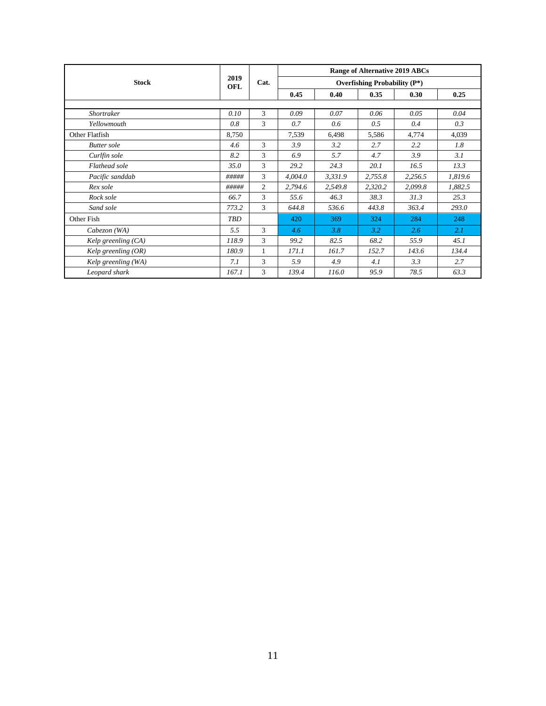|                       |             |                | <b>Range of Alternative 2019 ABCs</b><br><b>Overfishing Probability (P*)</b> |         |         |         |         |  |  |  |
|-----------------------|-------------|----------------|------------------------------------------------------------------------------|---------|---------|---------|---------|--|--|--|
| <b>Stock</b>          | 2019<br>OFL | Cat.           |                                                                              |         |         |         |         |  |  |  |
|                       |             |                | 0.45                                                                         | 0.40    | 0.35    | 0.30    | 0.25    |  |  |  |
|                       |             |                |                                                                              |         |         |         |         |  |  |  |
| Shortraker            | 0.10        | 3              | 0.09                                                                         | 0.07    | 0.06    | 0.05    | 0.04    |  |  |  |
| Yellowmouth           | 0.8         | 3              | 0.7                                                                          | 0.6     | 0.5     | 0.4     | 0.3     |  |  |  |
| Other Flatfish        | 8,750       |                | 7,539                                                                        | 6,498   | 5,586   | 4,774   | 4,039   |  |  |  |
| <b>Butter</b> sole    | 4.6         | 3              | 3.9                                                                          | 3.2     | 2.7     | 2.2     | 1.8     |  |  |  |
| Curlfin sole          | 8.2         | 3              | 6.9                                                                          | 5.7     | 4.7     | 3.9     | 3.1     |  |  |  |
| Flathead sole         | 35.0        | 3              | 29.2                                                                         | 24.3    | 20.1    | 16.5    | 13.3    |  |  |  |
| Pacific sanddab       | #####       | 3              | 4,004.0                                                                      | 3,331.9 | 2,755.8 | 2,256.5 | 1,819.6 |  |  |  |
| Rex sole              | #####       | $\overline{c}$ | 2,794.6                                                                      | 2,549.8 | 2,320.2 | 2,099.8 | 1,882.5 |  |  |  |
| Rock sole             | 66.7        | 3              | 55.6                                                                         | 46.3    | 38.3    | 31.3    | 25.3    |  |  |  |
| Sand sole             | 773.2       | 3              | 644.8                                                                        | 536.6   | 443.8   | 363.4   | 293.0   |  |  |  |
| Other Fish            | <b>TBD</b>  |                | 420                                                                          | 369     | 324     | 284     | 248     |  |  |  |
| $Cabezon$ (WA)        | 5.5         | 3              | 4.6                                                                          | 3.8     | 3.2     | 2.6     | 2.1     |  |  |  |
| Kelp greenling $(CA)$ | 118.9       | 3              | 99.2                                                                         | 82.5    | 68.2    | 55.9    | 45.1    |  |  |  |
| Kelp greenling (OR)   | 180.9       | 1              | 171.1                                                                        | 161.7   | 152.7   | 143.6   | 134.4   |  |  |  |
| Kelp greenling (WA)   | 7.1         | 3              | 5.9                                                                          | 4.9     | 4.1     | 3.3     | 2.7     |  |  |  |
| Leopard shark         | 167.1       | 3              | 139.4                                                                        | 116.0   | 95.9    | 78.5    | 63.3    |  |  |  |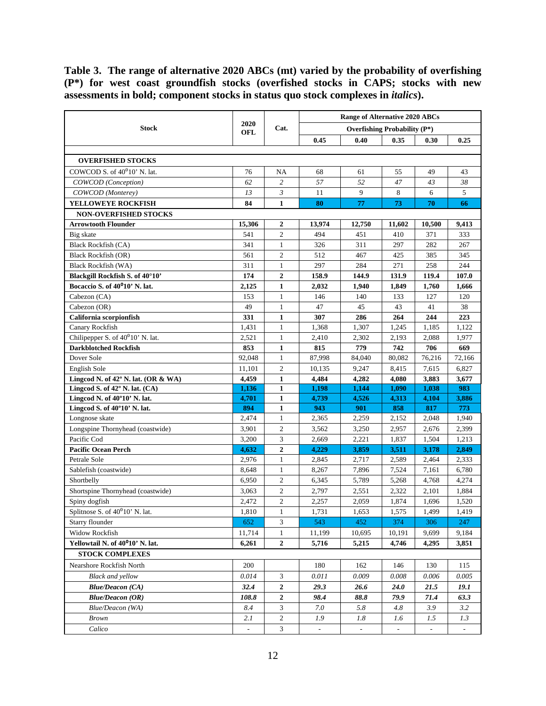<span id="page-11-0"></span>**Table 3. The range of alternative 2020 ABCs (mt) varied by the probability of overfishing (P\*) for west coast groundfish stocks (overfished stocks in CAPS; stocks with new assessments in bold; component stocks in status quo stock complexes in** *italics***).**

|                                               |                          |                  |                          | <b>Range of Alternative 2020 ABCs</b> |                          |                          |                          |
|-----------------------------------------------|--------------------------|------------------|--------------------------|---------------------------------------|--------------------------|--------------------------|--------------------------|
| <b>Stock</b>                                  | 2020<br><b>OFL</b>       | Cat.             |                          | <b>Overfishing Probability (P*)</b>   |                          |                          |                          |
|                                               |                          |                  | 0.45                     | 0.40                                  | 0.35                     | 0.30                     | 0.25                     |
|                                               |                          |                  |                          |                                       |                          |                          |                          |
| <b>OVERFISHED STOCKS</b>                      |                          |                  |                          |                                       |                          |                          |                          |
| COWCOD S. of 40 <sup>0</sup> 10' N. lat.      | 76                       | NA               | 68                       | 61                                    | 55                       | 49                       | 43                       |
| COWCOD (Conception)                           | 62                       | $\overline{c}$   | 57                       | 52                                    | 47                       | 43                       | 38                       |
| COWCOD (Monterey)                             | 13                       | $\mathfrak{Z}$   | 11                       | 9                                     | 8                        | 6                        | 5                        |
| YELLOWEYE ROCKFISH                            | 84                       | $\mathbf{1}$     | 80                       | 77                                    | 73                       | 70                       | 66                       |
| <b>NON-OVERFISHED STOCKS</b>                  |                          |                  |                          |                                       |                          |                          |                          |
| <b>Arrowtooth Flounder</b>                    | 15,306                   | $\overline{2}$   | 13,974                   | 12,750                                | 11,602                   | 10,500                   | 9,413                    |
| Big skate                                     | 541                      | $\overline{c}$   | 494                      | 451                                   | 410                      | 371                      | 333                      |
| <b>Black Rockfish (CA)</b>                    | 341                      | $\mathbf{1}$     | 326                      | 311                                   | 297                      | 282                      | 267                      |
| <b>Black Rockfish (OR)</b>                    | 561                      | $\overline{c}$   | 512                      | 467                                   | 425                      | 385                      | 345                      |
| <b>Black Rockfish (WA)</b>                    | 311                      | $\mathbf{1}$     | 297                      | 284                                   | 271                      | 258                      | 244                      |
| Blackgill Rockfish S. of 40°10'               | 174                      | $\boldsymbol{2}$ | 158.9                    | 144.9                                 | 131.9                    | 119.4                    | 107.0                    |
| Bocaccio S. of 40 <sup>0</sup> 10' N. lat.    | 2,125                    | $\mathbf{1}$     | 2,032                    | 1,940                                 | 1,849                    | 1,760                    | 1,666                    |
| Cabezon (CA)                                  | 153                      | $\mathbf{1}$     | 146                      | 140                                   | 133                      | 127                      | 120                      |
| Cabezon (OR)                                  | 49                       | $\mathbf{1}$     | 47                       | 45                                    | 43                       | 41                       | 38                       |
| California scorpionfish                       | 331                      | $\mathbf{1}$     | 307                      | 286                                   | 264                      | 244                      | 223                      |
| Canary Rockfish                               | 1,431                    | $\mathbf{1}$     | 1,368                    | 1,307                                 | 1,245                    | 1,185                    | 1,122                    |
| Chilipepper S. of 40 <sup>0</sup> 10' N. lat. | 2,521                    | 1                | 2,410                    | 2,302                                 | 2,193                    | 2,088                    | 1,977                    |
| <b>Darkblotched Rockfish</b>                  | 853                      | $\mathbf{1}$     | 815                      | 779                                   | 742                      | 706                      | 669                      |
| Dover Sole                                    | 92.048                   | $\mathbf{1}$     | 87,998                   | 84,040                                | 80,082                   | 76,216                   | 72,166                   |
| English Sole                                  | 11,101                   | $\mathbf{2}$     | 10,135                   | 9,247                                 | 8,415                    | 7,615                    | 6,827                    |
| Lingcod N. of 42° N. lat. (OR & WA)           | 4,459                    | $\mathbf{1}$     | 4,484                    | 4,282                                 | 4,080                    | 3,883                    | 3,677                    |
| Lingcod S. of 42° N. lat. (CA)                | 1,136                    | $\mathbf{1}$     | 1,198                    | 1,144                                 | 1,090                    | 1,038                    | 983                      |
| Lingcod N. of 40°10' N. lat.                  | 4,701                    | 1                | 4,739                    | 4,526                                 | 4,313                    | 4,104                    | 3,886                    |
| Lingcod S. of 40°10' N. lat.                  | 894                      | $\mathbf{1}$     | 943                      | 901                                   | 858                      | 817                      | 773                      |
| Longnose skate                                | 2,474                    | $\mathbf{1}$     | 2,365                    | 2,259                                 | 2,152                    | 2,048                    | 1,940                    |
| Longspine Thornyhead (coastwide)              | 3,901                    | $\mathbf{2}$     | 3,562                    | 3,250                                 | 2,957                    | 2,676                    | 2,399                    |
| Pacific Cod                                   | 3,200                    | 3                | 2,669                    | 2,221                                 | 1,837                    | 1,504                    | 1,213                    |
| <b>Pacific Ocean Perch</b>                    | 4,632                    | $\overline{2}$   | 4,229                    | 3,859                                 | 3,511                    | 3,178                    | 2,849                    |
| Petrale Sole                                  | 2,976                    | $\mathbf{1}$     | 2,845                    | 2,717                                 | 2,589                    | 2,464                    | 2,333                    |
| Sablefish (coastwide)                         | 8,648                    | $\mathbf{1}$     | 8,267                    | 7,896                                 | 7,524                    | 7,161                    | 6,780                    |
| Shortbelly                                    | 6,950                    | $\mathbf{2}$     | 6,345                    | 5,789                                 | 5,268                    | 4,768                    | 4,274                    |
| Shortspine Thornyhead (coastwide)             | 3,063                    | $\overline{c}$   | 2,797                    | 2,551                                 | 2,322                    | 2,101                    | 1,884                    |
| Spiny dogfish                                 | 2,472                    | $\overline{c}$   | 2,257                    | 2,059                                 | 1,874                    | 1,696                    | 1,520                    |
| Splitnose S. of $40^010'$ N. lat.             | 1,810                    | $\mathbf{1}$     | 1,731                    | 1,653                                 | 1,575                    | 1,499                    | 1,419                    |
| Starry flounder                               | 652                      | 3                | 543                      | 452                                   | 374                      | 306                      | 247                      |
| Widow Rockfish                                | 11,714                   | $\mathbf{1}$     | 11,199                   | 10,695                                | 10,191                   | 9,699                    | 9,184                    |
| Yellowtail N. of 40 <sup>0</sup> 10' N. lat.  | 6,261                    | $\mathbf{2}$     | 5,716                    | 5,215                                 | 4,746                    | 4,295                    | 3,851                    |
| <b>STOCK COMPLEXES</b>                        |                          |                  |                          |                                       |                          |                          |                          |
| Nearshore Rockfish North                      | 200                      |                  | 180                      | 162                                   | 146                      | 130                      | 115                      |
| <b>Black and vellow</b>                       | 0.014                    | 3                | 0.011                    | 0.009                                 | 0.008                    | 0.006                    | 0.005                    |
| <b>Blue/Deacon (CA)</b>                       | 32.4                     | $\mathbf 2$      | 29.3                     | 26.6                                  | <b>24.0</b>              | 21.5                     | 19.1                     |
| <b>Blue/Deacon (OR)</b>                       | 108.8                    | $\mathbf 2$      | 98.4                     | 88.8                                  | 79.9                     | 71.4                     | 63.3                     |
| Blue/Deacon (WA)                              | 8.4                      | 3                | 7.0                      | 5.8                                   | 4.8                      | 3.9                      | 3.2                      |
| <b>Brown</b>                                  | 2.1                      | $\overline{c}$   | 1.9                      | 1.8                                   | 1.6                      | 1.5                      | 1.3                      |
| Calico                                        | $\overline{\phantom{a}}$ | $\mathfrak{Z}$   | $\overline{\phantom{a}}$ | $\overline{\phantom{a}}$              | $\overline{\phantom{a}}$ | $\overline{\phantom{a}}$ | $\overline{\phantom{a}}$ |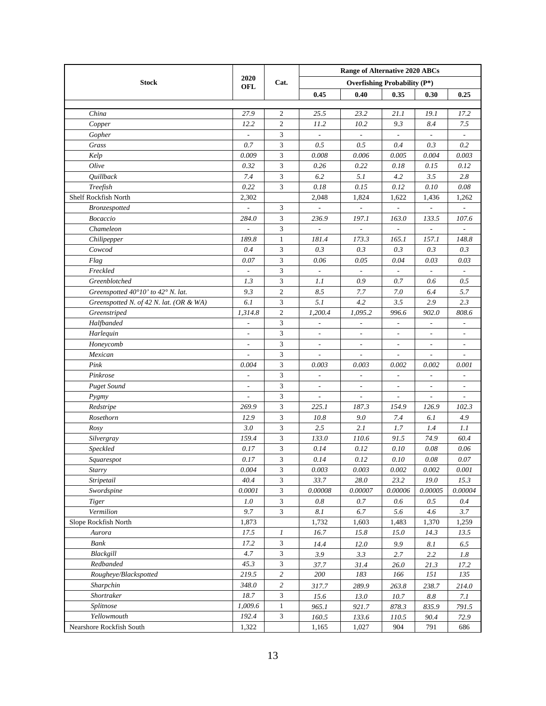|                                         |                          |                  | <b>Range of Alternative 2020 ABCs</b> |                                     |                          |                          |                          |  |  |
|-----------------------------------------|--------------------------|------------------|---------------------------------------|-------------------------------------|--------------------------|--------------------------|--------------------------|--|--|
| <b>Stock</b>                            | 2020<br>OFL              | Cat.             |                                       | <b>Overfishing Probability (P*)</b> |                          |                          |                          |  |  |
|                                         |                          |                  | 0.45                                  | 0.40                                | 0.35                     | 0.30                     | 0.25                     |  |  |
|                                         |                          |                  |                                       |                                     |                          |                          |                          |  |  |
| China                                   | 27.9                     | 2                | 25.5                                  | 23.2                                | 21.1                     | 19.1                     | 17.2                     |  |  |
| Copper                                  | 12.2                     | $\mathfrak{2}$   | 11.2                                  | 10.2                                | 9.3                      | 8.4                      | 7.5                      |  |  |
| Gopher                                  | $\overline{a}$           | 3                |                                       | $\overline{\phantom{a}}$            |                          |                          |                          |  |  |
| Grass                                   | 0.7                      | 3                | 0.5                                   | 0.5                                 | 0.4                      | 0.3                      | 0.2                      |  |  |
| Kelp                                    | 0.009                    | 3                | 0.008                                 | 0.006                               | 0.005                    | 0.004                    | 0.003                    |  |  |
| Olive                                   | 0.32                     | 3                | 0.26                                  | 0.22                                | 0.18                     | 0.15                     | 0.12                     |  |  |
| Quillback                               | 7.4                      | 3                | 6.2                                   | 5.1                                 | 4.2                      | 3.5                      | 2.8                      |  |  |
| Treefish                                | 0.22                     | 3                | 0.18                                  | 0.15                                | 0.12                     | 0.10                     | 0.08                     |  |  |
| Shelf Rockfish North                    | 2,302                    |                  | 2,048                                 | 1,824                               | 1,622                    | 1,436                    | 1,262                    |  |  |
| Bronzespotted                           |                          | 3                |                                       | $\overline{a}$                      |                          |                          |                          |  |  |
| Bocaccio                                | 284.0                    | 3                | 236.9                                 | 197.1                               | 163.0                    | 133.5                    | 107.6                    |  |  |
| Chameleon                               |                          | 3                |                                       |                                     |                          |                          |                          |  |  |
| Chilipepper                             | 189.8                    | $\mathbf{1}$     | 181.4                                 | 173.3                               | 165.1                    | 157.1                    | 148.8                    |  |  |
| Cowcod                                  | 0.4                      | 3                | 0.3                                   | 0.3                                 | 0.3                      | 0.3                      | 0.3                      |  |  |
| Flag                                    | 0.07                     | 3                | 0.06                                  | 0.05                                | 0.04                     | 0.03                     | 0.03                     |  |  |
| Freckled                                | $\mathbb{L}$             | 3                | $\overline{a}$                        | ä,                                  | $\sim$                   | $\overline{a}$           | $\overline{a}$           |  |  |
| Greenblotched                           | 1.3                      | 3                | 1.1                                   | 0.9                                 | 0.7                      | 0.6                      | 0.5                      |  |  |
| Greenspotted 40°10' to 42° N. lat.      | 9.3                      | $\overline{c}$   | 8.5                                   | 7.7                                 | 7.0                      | 6.4                      | 5.7                      |  |  |
| Greenspotted N. of 42 N. lat. (OR & WA) | 6.1                      | 3                | 5.1                                   | 4.2                                 | 3.5                      | 2.9                      | 2.3                      |  |  |
| Greenstriped                            | 1,314.8                  | $\overline{c}$   | 1,200.4                               | 1.095.2                             | 996.6                    | 902.0                    | 808.6                    |  |  |
| Halfbanded                              | $\overline{\phantom{a}}$ | 3                | $\overline{\phantom{a}}$              | $\overline{\phantom{a}}$            | $\overline{\phantom{a}}$ | $\overline{\phantom{a}}$ | $\overline{a}$           |  |  |
| Harlequin                               | $\overline{\phantom{a}}$ | 3                | $\overline{\phantom{a}}$              | $\overline{\phantom{a}}$            | $\overline{\phantom{a}}$ | $\overline{\phantom{a}}$ | $\overline{\phantom{a}}$ |  |  |
| Honeycomb                               | $\blacksquare$           | 3                | $\overline{\phantom{a}}$              | $\overline{\phantom{a}}$            | $\overline{\phantom{a}}$ | $\overline{\phantom{a}}$ | $\overline{\phantom{a}}$ |  |  |
| Mexican                                 | $\frac{1}{2}$            | 3                | $\overline{\phantom{a}}$              | $\overline{\phantom{a}}$            |                          | $\overline{\phantom{m}}$ |                          |  |  |
| Pink                                    | 0.004                    | 3                | 0.003                                 | 0.003                               | 0.002                    | 0.002                    | 0.001                    |  |  |
| Pinkrose                                | $\overline{\phantom{a}}$ | 3                | $\overline{\phantom{a}}$              | $\overline{\phantom{a}}$            |                          | $\overline{\phantom{a}}$ |                          |  |  |
| <b>Puget Sound</b>                      | $\overline{a}$           | 3                |                                       | $\overline{\phantom{a}}$            |                          |                          |                          |  |  |
| Pygmy                                   | $\frac{1}{2}$            | 3                | $\overline{a}$                        | $\frac{1}{2}$                       |                          |                          | L,                       |  |  |
| Redstripe                               | 269.9                    | 3                | 225.1                                 | 187.3                               | 154.9                    | 126.9                    | 102.3                    |  |  |
| Rosethorn                               | 12.9                     | 3                | 10.8                                  | 9.0                                 | 7.4                      | 6.1                      | 4.9                      |  |  |
| Rosy                                    | 3.0                      | 3                | 2.5                                   | 2.1                                 | 1.7                      | 1.4                      | 1.1                      |  |  |
| Silvergray                              | 159.4                    | 3                | 133.0                                 | 110.6                               | 91.5                     | 74.9                     | 60.4                     |  |  |
| Speckled                                | 0.17                     | 3                | 0.14                                  | 0.12                                | 0.10                     | 0.08                     | 0.06                     |  |  |
| Squarespot                              | 0.17                     | 3                | 0.14                                  | 0.12                                | 0.10                     | 0.08                     | 0.07                     |  |  |
| <b>Starry</b>                           | 0.004                    | 3                | 0.003                                 | 0.003                               | 0.002                    | 0.002                    | 0.001                    |  |  |
| Stripetail                              | 40.4                     | 3                | 33.7                                  | 28.0                                | 23.2                     | 19.0                     | 15.3                     |  |  |
| Swordspine                              | 0.0001                   | 3                | 0.00008                               | 0.00007                             | 0.00006                  | 0.00005                  | 0.00004                  |  |  |
| Tiger                                   | 1.0                      | $\mathfrak{Z}$   | 0.8                                   | 0.7                                 | 0.6                      | 0.5                      | 0.4                      |  |  |
| Vermilion                               | 9.7                      | $\overline{3}$   | $8.1\,$                               | 6.7                                 | 5.6                      | 4.6                      | 3.7                      |  |  |
| Slope Rockfish North                    | 1,873                    |                  | 1,732                                 | 1,603                               | 1,483                    | 1,370                    | 1,259                    |  |  |
| Aurora                                  | 17.5                     | $\boldsymbol{l}$ | 16.7                                  | 15.8                                | 15.0                     | 14.3                     | 13.5                     |  |  |
| Bank                                    | 17.2                     | 3                | 14.4                                  | 12.0                                | 9.9                      | 8.1                      | 6.5                      |  |  |
| Blackgill                               | 4.7                      | 3                | 3.9                                   | 3.3                                 | 2.7                      | 2.2                      | 1.8                      |  |  |
| Redbanded                               | 45.3                     | 3                | 37.7                                  | 31.4                                | 26.0                     | 21.3                     | 17.2                     |  |  |
| Rougheye/Blackspotted                   | 219.5                    | $\overline{c}$   | 200                                   | 183                                 | 166                      | 151                      | 135                      |  |  |
| Sharpchin                               | 348.0                    | $\overline{c}$   | 317.7                                 | 289.9                               | 263.8                    | 238.7                    | 214.0                    |  |  |
| Shortraker                              | 18.7                     | 3                | 15.6                                  | 13.0                                | 10.7                     | $8.8\,$                  | 7.1                      |  |  |
| Splitnose                               | 1,009.6                  | $\mathbf{1}$     | 965.1                                 | 921.7                               | 878.3                    | 835.9                    | 791.5                    |  |  |
| Yellowmouth                             | 192.4                    | 3                | 160.5                                 | 133.6                               | 110.5                    | 90.4                     | 72.9                     |  |  |
| Nearshore Rockfish South                | 1,322                    |                  | 1,165                                 | 1,027                               | 904                      | 791                      | 686                      |  |  |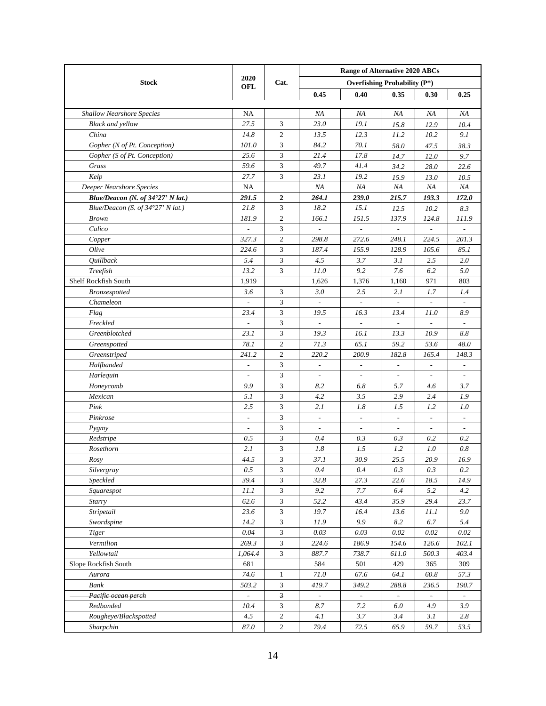|                                   |                              |                         | <b>Range of Alternative 2020 ABCs</b> |                          |                          |                          |                          |  |  |
|-----------------------------------|------------------------------|-------------------------|---------------------------------------|--------------------------|--------------------------|--------------------------|--------------------------|--|--|
| <b>Stock</b>                      | 2020                         | Cat.                    | <b>Overfishing Probability (P*)</b>   |                          |                          |                          |                          |  |  |
|                                   | OFL                          |                         | 0.45                                  | 0.40                     | 0.35                     | 0.30                     | 0.25                     |  |  |
|                                   |                              |                         |                                       |                          |                          |                          |                          |  |  |
| <b>Shallow Nearshore Species</b>  | NA                           |                         | NA                                    | ΝA                       | NA                       | NA                       | ΝA                       |  |  |
| <b>Black and yellow</b>           | 27.5                         | 3                       | 23.0                                  | 19.1                     | 15.8                     | 12.9                     | 10.4                     |  |  |
| China                             | 14.8                         | 2                       | 13.5                                  | 12.3                     | 11.2                     | 10.2                     | 9.1                      |  |  |
| Gopher (N of Pt. Conception)      | 101.0                        | 3                       | 84.2                                  | 70.1                     | 58.0                     | 47.5                     | 38.3                     |  |  |
| Gopher (S of Pt. Conception)      | 25.6                         | 3                       | 21.4                                  | 17.8                     | 14.7                     | 12.0                     | 9.7                      |  |  |
| Grass                             | 59.6                         | 3                       | 49.7                                  | 41.4                     | 34.2                     | 28.0                     | 22.6                     |  |  |
| Kelp                              | 27.7                         | 3                       | 23.1                                  | 19.2                     | 15.9                     | 13.0                     | 10.5                     |  |  |
| Deeper Nearshore Species          | NA                           |                         | NA                                    | NA                       | ΝA                       | NA                       | ΝA                       |  |  |
| Blue/Deacon (N. of 34°27' N lat.) | 291.5                        | $\boldsymbol{2}$        | 264.1                                 | 239.0                    | 215.7                    | 193.3                    | 172.0                    |  |  |
| Blue/Deacon (S. of 34°27' N lat.) | 21.8                         | 3                       | 18.2                                  | 15.1                     | 12.5                     | 10.2                     | 8.3                      |  |  |
| <b>Brown</b>                      | 181.9                        | $\overline{c}$          | 166.1                                 | 151.5                    | 137.9                    | 124.8                    | 111.9                    |  |  |
| Calico                            |                              | 3                       |                                       |                          |                          |                          |                          |  |  |
| Copper                            | 327.3                        | $\overline{c}$          | 298.8                                 | 272.6                    | 248.1                    | 224.5                    | 201.3                    |  |  |
| Olive                             | 224.6                        | 3                       | 187.4                                 | 155.9                    | 128.9                    | 105.6                    | 85.1                     |  |  |
| <i><b>Quillback</b></i>           | 5.4                          | 3                       | 4.5                                   | 3.7                      | 3.1                      | 2.5                      | 2.0                      |  |  |
| Treefish                          | 13.2                         | 3                       | 11.0                                  | 9.2                      | 7.6                      | 6.2                      | 5.0                      |  |  |
| Shelf Rockfish South              | 1,919                        |                         | 1,626                                 | 1,376                    | 1,160                    | 971                      | 803                      |  |  |
| <b>Bronzespotted</b>              | 3.6                          | 3                       | 3.0                                   | 2.5                      | 2.1                      | 1.7                      | 1.4                      |  |  |
| Chameleon                         | $\overline{\phantom{a}}$     | 3                       | $\overline{a}$                        | $\Box$                   | $\sim$                   |                          |                          |  |  |
| Flag                              | 23.4                         | 3                       | 19.5                                  | 16.3                     | 13.4                     | 11.0                     | 8.9                      |  |  |
| Freckled                          | $\overline{\phantom{a}}$     | 3                       | $\overline{a}$                        | $\overline{\phantom{a}}$ | $\overline{\phantom{a}}$ |                          | $\mathcal{L}$            |  |  |
| Greenblotched                     | 23.1                         | 3                       | 19.3                                  | 16.1                     | 13.3                     | 10.9                     | 8.8                      |  |  |
| Greenspotted                      | 78.1                         | $\overline{c}$          | 71.3                                  | 65.1                     | 59.2                     | 53.6                     | 48.0                     |  |  |
| Greenstriped                      | 241.2                        | $\overline{c}$          | 220.2                                 | 200.9                    | 182.8                    | 165.4                    | 148.3                    |  |  |
| Halfbanded                        | $\qquad \qquad \blacksquare$ | 3                       | $\overline{\phantom{a}}$              | $\overline{\phantom{a}}$ | $\overline{\phantom{a}}$ | $\overline{\phantom{a}}$ | $\overline{\phantom{a}}$ |  |  |
| Harlequin                         | $\overline{\phantom{a}}$     | 3                       | $\overline{\phantom{a}}$              | $\overline{\phantom{a}}$ |                          | $\overline{\phantom{a}}$ |                          |  |  |
| Honeycomb                         | 9.9                          | 3                       | 8.2                                   | 6.8                      | 5.7                      | 4.6                      | 3.7                      |  |  |
| Mexican                           | 5.1                          | 3                       | 4.2                                   | 3.5                      | 2.9                      | 2.4                      | 1.9                      |  |  |
| Pink                              | 2.5                          | 3                       | 2.1                                   | 1.8                      | 1.5                      | 1.2                      | 1.0                      |  |  |
| Pinkrose                          | $\overline{\phantom{a}}$     | 3                       |                                       | $\overline{\phantom{a}}$ |                          |                          |                          |  |  |
| Pygmy                             | $\overline{\phantom{m}}$     | $\overline{3}$          |                                       | $\overline{\phantom{a}}$ |                          |                          |                          |  |  |
| Redstripe                         | 0.5                          | 3                       | 0.4                                   | 0.3                      | 0.3                      | 0.2                      | 0.2                      |  |  |
| Rosethorn                         | 2.1                          | 3                       | 1.8                                   | 1.5                      | 1.2                      | 1.0                      | 0.8                      |  |  |
| Rosy                              | 44.5                         | 3                       | 37.1                                  | 30.9                     | 25.5                     | 20.9                     | 16.9                     |  |  |
| Silvergray                        | 0.5                          | $\mathfrak{Z}$          | 0.4                                   | 0.4                      | 0.3                      | 0.3                      | 0.2                      |  |  |
| Speckled                          | 39.4                         | 3                       | 32.8                                  | 27.3                     | 22.6                     | 18.5                     | 14.9                     |  |  |
| Squarespot                        | 11.1                         | $\overline{3}$          | 9.2                                   | 7.7                      | 6.4                      | 5.2                      | 4.2                      |  |  |
| Starry                            | 62.6                         | $\overline{3}$          | 52.2                                  | 43.4                     | 35.9                     | 29.4                     | 23.7                     |  |  |
| Stripetail                        | 23.6                         | $\overline{3}$          | 19.7                                  | 16.4                     | 13.6                     | 11.1                     | 9.0                      |  |  |
| Swordspine                        | 14.2                         | $\overline{3}$          | 11.9                                  | 9.9                      | $8.2\,$                  | 6.7                      | 5.4                      |  |  |
| <b>Tiger</b>                      | 0.04                         | 3                       | 0.03                                  | 0.03                     | 0.02                     | 0.02                     | 0.02                     |  |  |
| Vermilion                         | 269.3                        | $\overline{3}$          | 224.6                                 | 186.9                    | 154.6                    | 126.6                    | 102.1                    |  |  |
| Yellowtail                        | 1,064.4                      | $\overline{3}$          | 887.7                                 | 738.7                    | 611.0                    | 500.3                    | 403.4                    |  |  |
| Slope Rockfish South              | 681                          |                         | 584                                   | 501                      | 429                      | 365                      | 309                      |  |  |
| Aurora                            | 74.6                         | $\mathbf{1}$            | $71.0\,$                              | 67.6                     | 64.1                     | 60.8                     | 57.3                     |  |  |
| Bank                              | 503.2                        | 3                       | 419.7                                 | 349.2                    | 288.8                    | 236.5                    | 190.7                    |  |  |
| Pacific ocean perch               | $\equiv$                     | $\overline{\mathbf{3}}$ | $\equiv$                              | $\blacksquare$           | $\blacksquare$           |                          | $\blacksquare$           |  |  |
| Redbanded                         | 10.4                         | $\mathfrak{Z}$          | 8.7                                   | 7.2                      | 6.0                      | 4.9                      | 3.9                      |  |  |
| Rougheye/Blackspotted             | 4.5                          | $\sqrt{2}$              | 4.1                                   | 3.7                      | 3.4                      | 3.1                      | 2.8                      |  |  |
| Sharpchin                         | 87.0                         | $\overline{c}$          | 79.4                                  | 72.5                     | 65.9                     | 59.7                     | 53.5                     |  |  |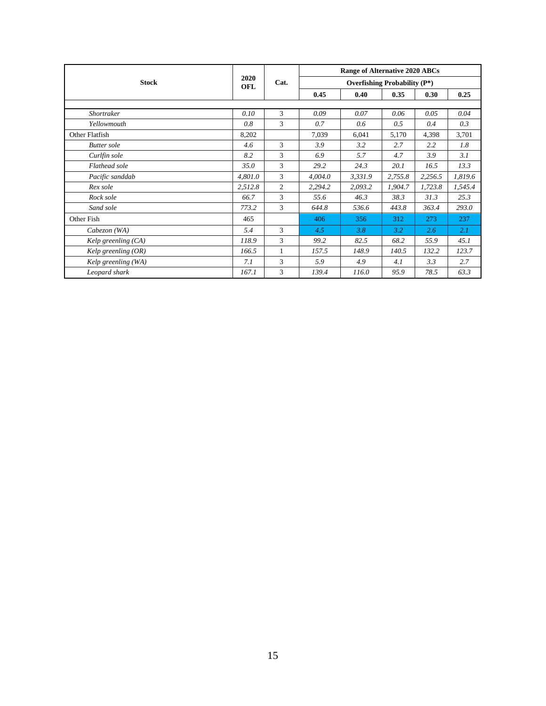|                       |                    |                | Range of Alternative 2020 ABCs<br><b>Overfishing Probability (P*)</b> |         |         |         |         |  |  |  |
|-----------------------|--------------------|----------------|-----------------------------------------------------------------------|---------|---------|---------|---------|--|--|--|
| <b>Stock</b>          | 2020<br><b>OFL</b> | Cat.           |                                                                       |         |         |         |         |  |  |  |
|                       |                    |                | 0.45                                                                  | 0.40    | 0.35    | 0.30    | 0.25    |  |  |  |
|                       |                    |                |                                                                       |         |         |         |         |  |  |  |
| Shortraker            | 0.10               | 3              | 0.09                                                                  | 0.07    | 0.06    | 0.05    | 0.04    |  |  |  |
| Yellowmouth           | 0.8                | 3              | 0.7                                                                   | 0.6     | 0.5     | 0.4     | 0.3     |  |  |  |
| Other Flatfish        | 8,202              |                | 7,039                                                                 | 6,041   | 5,170   | 4,398   | 3,701   |  |  |  |
| <b>Butter</b> sole    | 4.6                | 3              | 3.9                                                                   | 3.2     | 2.7     | $2.2\,$ | 1.8     |  |  |  |
| Curlfin sole          | 8.2                | 3              | 6.9                                                                   | 5.7     | 4.7     | 3.9     | 3.1     |  |  |  |
| Flathead sole         | 35.0               | 3              | 29.2                                                                  | 24.3    | 20.1    | 16.5    | 13.3    |  |  |  |
| Pacific sanddab       | 4,801.0            | 3              | 4,004.0                                                               | 3,331.9 | 2,755.8 | 2,256.5 | 1,819.6 |  |  |  |
| Rex sole              | 2,512.8            | $\overline{c}$ | 2,294.2                                                               | 2,093.2 | 1,904.7 | 1,723.8 | 1,545.4 |  |  |  |
| Rock sole             | 66.7               | 3              | 55.6                                                                  | 46.3    | 38.3    | 31.3    | 25.3    |  |  |  |
| Sand sole             | 773.2              | 3              | 644.8                                                                 | 536.6   | 443.8   | 363.4   | 293.0   |  |  |  |
| Other Fish            | 465                |                | 406                                                                   | 356     | 312     | 273     | 237     |  |  |  |
| Cabezon (WA)          | 5.4                | 3              | 4.5                                                                   | 3.8     | 3.2     | 2.6     | 2.1     |  |  |  |
| Kelp greenling $(CA)$ | 118.9              | 3              | 99.2                                                                  | 82.5    | 68.2    | 55.9    | 45.1    |  |  |  |
| Kelp greenling $(OR)$ | 166.5              | 1              | 157.5                                                                 | 148.9   | 140.5   | 132.2   | 123.7   |  |  |  |
| Kelp greenling (WA)   | 7.1                | 3              | 5.9                                                                   | 4.9     | 4.1     | 3.3     | 2.7     |  |  |  |
| Leopard shark         | 167.1              | 3              | 139.4                                                                 | 116.0   | 95.9    | 78.5    | 63.3    |  |  |  |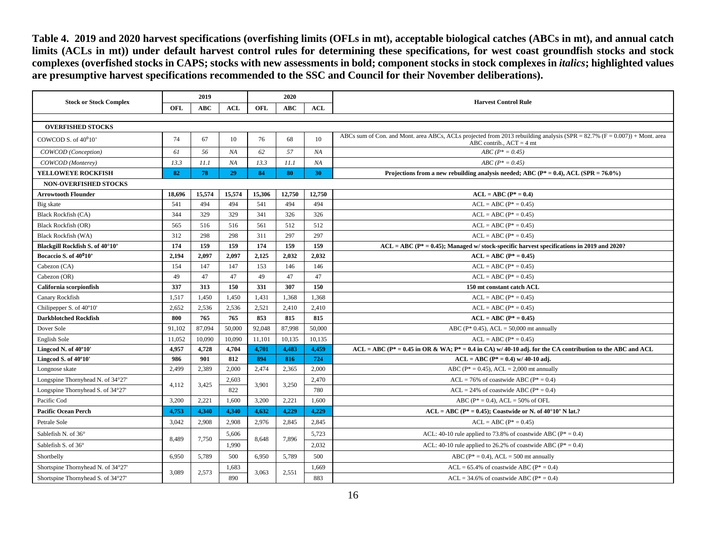**Table 4. 2019 and 2020 harvest specifications (overfishing limits (OFLs in mt), acceptable biological catches (ABCs in mt), and annual catch limits (ACLs in mt)) under default harvest control rules for determining these specifications, for west coast groundfish stocks and stock complexes (overfished stocks in CAPS; stocks with new assessments in bold; component stocks in stock complexes in** *italics***; highlighted values are presumptive harvest specifications recommended to the SSC and Council for their November deliberations).**

<span id="page-15-0"></span>

|                                    |        | 2019       |            | 2020   |            |            |                                                                                                                                                            |
|------------------------------------|--------|------------|------------|--------|------------|------------|------------------------------------------------------------------------------------------------------------------------------------------------------------|
| <b>Stock or Stock Complex</b>      | OFL    | <b>ABC</b> | <b>ACL</b> | OFL    | <b>ABC</b> | <b>ACL</b> | <b>Harvest Control Rule</b>                                                                                                                                |
|                                    |        |            |            |        |            |            |                                                                                                                                                            |
| <b>OVERFISHED STOCKS</b>           |        |            |            |        |            |            |                                                                                                                                                            |
| COWCOD S. of $40^010$              | 74     | 67         | 10         | 76     | 68         | 10         | ABCs sum of Con. and Mont. area ABCs, ACLs projected from 2013 rebuilding analysis (SPR = $82.7\%$ (F = 0.007)) + Mont. area<br>ABC contrib., $ACT = 4$ mt |
| COWCOD (Conception)                | 61     | 56         | NA         | 62     | 57         | NA         | $ABC (P^* = 0.45)$                                                                                                                                         |
| COWCOD (Monterey)                  | 13.3   | 11.1       | NA         | 13.3   | 11.1       | NA         | $ABC (P^* = 0.45)$                                                                                                                                         |
| <b>YELLOWEYE ROCKFISH</b>          | 82     | 78         | 29         | 84     | 80         | 30         | Projections from a new rebuilding analysis needed; ABC ( $P^* = 0.4$ ), ACL ( $SPR = 76.0\%$ )                                                             |
| <b>NON-OVERFISHED STOCKS</b>       |        |            |            |        |            |            |                                                                                                                                                            |
| <b>Arrowtooth Flounder</b>         | 18.696 | 15,574     | 15,574     | 15,306 | 12,750     | 12,750     | $ACL = ABC (P* = 0.4)$                                                                                                                                     |
| Big skate                          | 541    | 494        | 494        | 541    | 494        | 494        | $ACL = ABC (P^* = 0.45)$                                                                                                                                   |
| Black Rockfish (CA)                | 344    | 329        | 329        | 341    | 326        | 326        | $ACL = ABC (P^* = 0.45)$                                                                                                                                   |
| <b>Black Rockfish (OR)</b>         | 565    | 516        | 516        | 561    | 512        | 512        | $ACL = ABC (P^* = 0.45)$                                                                                                                                   |
| <b>Black Rockfish (WA)</b>         | 312    | 298        | 298        | 311    | 297        | 297        | $ACL = ABC (P^* = 0.45)$                                                                                                                                   |
| Blackgill Rockfish S. of 40°10'    | 174    | 159        | 159        | 174    | 159        | 159        | $ACL = ABC (P^* = 0.45)$ ; Managed w/ stock-specific harvest specifications in 2019 and 2020?                                                              |
| Bocaccio S. of 40 <sup>0</sup> 10' | 2.194  | 2,097      | 2,097      | 2.125  | 2,032      | 2,032      | $ACL = ABC (P* = 0.45)$                                                                                                                                    |
| Cabezon (CA)                       | 154    | 147        | 147        | 153    | 146        | 146        | $ACL = ABC (P^* = 0.45)$                                                                                                                                   |
| Cabezon (OR)                       | 49     | 47         | 47         | 49     | 47         | 47         | $ACL = ABC (P^* = 0.45)$                                                                                                                                   |
| California scorpionfish            | 337    | 313        | 150        | 331    | 307        | 150        | 150 mt constant catch ACL                                                                                                                                  |
| Canary Rockfish                    | 1,517  | 1,450      | 1.450      | 1,431  | 1,368      | 1.368      | $ACL = ABC (P^* = 0.45)$                                                                                                                                   |
| Chilipepper S. of 40°10'           | 2,652  | 2,536      | 2,536      | 2,521  | 2,410      | 2,410      | $ACL = ABC (P^* = 0.45)$                                                                                                                                   |
| <b>Darkblotched Rockfish</b>       | 800    | 765        | 765        | 853    | 815        | 815        | $ACL = ABC (P* = 0.45)$                                                                                                                                    |
| Dover Sole                         | 91,102 | 87,094     | 50,000     | 92,048 | 87,998     | 50,000     | ABC ( $P*$ 0.45), ACL = 50,000 mt annually                                                                                                                 |
| English Sole                       | 11.052 | 10,090     | 10,090     | 11,101 | 10,135     | 10,135     | $ACL = ABC (P^* = 0.45)$                                                                                                                                   |
| Lingcod N. of 40°10'               | 4,957  | 4,728      | 4,704      | 4,701  | 4,483      | 4,459      | $ACL = ABC (P^* = 0.45$ in OR & WA; $P^* = 0.4$ in CA) w/ 40-10 adj. for the CA contribution to the ABC and ACL                                            |
| Lingcod S. of 40°10'               | 986    | 901        | 812        | 894    | 816        | 724        | $ACL = ABC (P^* = 0.4)$ w/ 40-10 adj.                                                                                                                      |
| Longnose skate                     | 2,499  | 2,389      | 2,000      | 2,474  | 2,365      | 2,000      | ABC ( $P^* = 0.45$ ), ACL = 2,000 mt annually                                                                                                              |
| Longspine Thornyhead N. of 34°27'  | 4,112  | 3,425      | 2,603      | 3,901  | 3,250      | 2,470      | $ACL = 76\%$ of coastwide ABC ( $P^* = 0.4$ )                                                                                                              |
| Longspine Thornyhead S. of 34°27'  |        |            | 822        |        |            | 780        | $ACL = 24\%$ of coastwide ABC ( $P^* = 0.4$ )                                                                                                              |
| Pacific Cod                        | 3.200  | 2.221      | 1.600      | 3.200  | 2,221      | 1.600      | ABC ( $P^* = 0.4$ ), ACL = 50% of OFL                                                                                                                      |
| <b>Pacific Ocean Perch</b>         | 4,753  | 4,340      | 4.340      | 4.632  | 4,229      | 4.229      | $ACL = ABC (P^* = 0.45)$ ; Coastwide or N. of 40°10' N lat.?                                                                                               |
| Petrale Sole                       | 3,042  | 2,908      | 2,908      | 2,976  | 2,845      | 2,845      | $ACL = ABC (P^* = 0.45)$                                                                                                                                   |
| Sablefish N. of 36°                | 8,489  | 7,750      | 5,606      | 8,648  | 7,896      | 5,723      | ACL: 40-10 rule applied to 73.8% of coastwide ABC ( $P^* = 0.4$ )                                                                                          |
| Sablefish S. of 36°                |        |            | 1.990      |        |            | 2.032      | ACL: 40-10 rule applied to 26.2% of coastwide ABC ( $P^* = 0.4$ )                                                                                          |
| Shortbelly                         | 6,950  | 5,789      | 500        | 6,950  | 5,789      | 500        | ABC ( $P^* = 0.4$ ), ACL = 500 mt annually                                                                                                                 |
| Shortspine Thornyhead N. of 34°27' | 3,089  | 2,573      | 1,683      | 3,063  | 2,551      | 1,669      | $ACL = 65.4\%$ of coastwide ABC ( $P^* = 0.4$ )                                                                                                            |
| Shortspine Thornyhead S. of 34°27' |        |            | 890        |        |            | 883        | $ACL = 34.6\%$ of coastwide ABC ( $P^* = 0.4$ )                                                                                                            |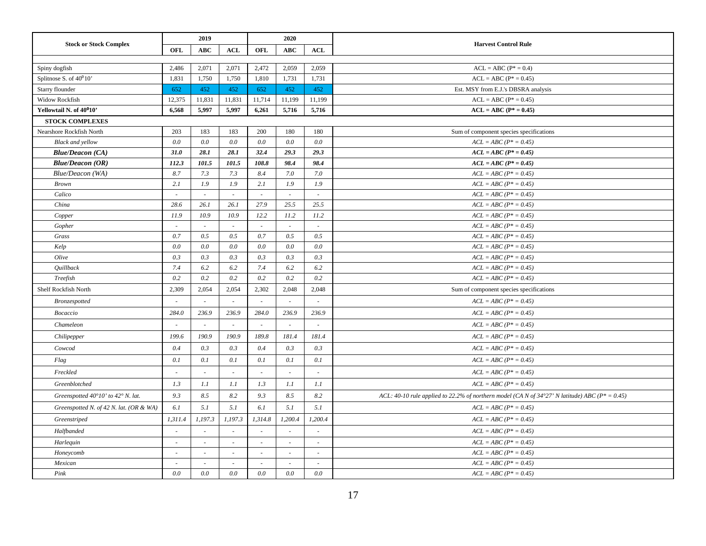|                                                      |                          | 2019                     |                | 2020       |                          |         |                                                                                                     |  |  |  |
|------------------------------------------------------|--------------------------|--------------------------|----------------|------------|--------------------------|---------|-----------------------------------------------------------------------------------------------------|--|--|--|
| <b>Stock or Stock Complex</b>                        | OFL                      | <b>ABC</b>               | <b>ACL</b>     | <b>OFL</b> | <b>ABC</b>               | ACL     | <b>Harvest Control Rule</b>                                                                         |  |  |  |
|                                                      |                          |                          |                |            |                          |         |                                                                                                     |  |  |  |
| Spiny dogfish                                        | 2,486                    | 2,071                    | 2,071          | 2,472      | 2,059                    | 2,059   | $ACL = ABC (P* = 0.4)$                                                                              |  |  |  |
| Splitnose S. of 40 <sup>0</sup> 10'                  | 1,831                    | 1,750                    | 1,750          | 1,810      | 1,731                    | 1,731   | $ACL = ABC (P^* = 0.45)$                                                                            |  |  |  |
| Starry flounder                                      | 652                      | 452                      | 452            | 652        | 452                      | 452     | Est. MSY from E.J.'s DBSRA analysis                                                                 |  |  |  |
| Widow Rockfish                                       | 12,375                   | 11,831                   | 11,831         | 11,714     | 11,199                   | 11,199  | $ACL = ABC (P^* = 0.45)$                                                                            |  |  |  |
| Yellowtail N. of 40°10'                              | 6,568                    | 5,997                    | 5,997          | 6,261      | 5,716                    | 5,716   | $ACL = ABC (P* = 0.45)$                                                                             |  |  |  |
| <b>STOCK COMPLEXES</b>                               |                          |                          |                |            |                          |         |                                                                                                     |  |  |  |
| Nearshore Rockfish North                             | 203                      | 183                      | 183            | 200        | 180                      | 180     | Sum of component species specifications                                                             |  |  |  |
| <b>Black and yellow</b>                              | 0.0                      | 0.0                      | 0.0            | 0.0        | 0.0                      | 0.0     | $ACL = ABC (P^* = 0.45)$                                                                            |  |  |  |
| <b>Blue/Deacon (CA)</b>                              | 31.0                     | 28.1                     | 28.1           | 32.4       | 29.3                     | 29.3    | $ACL = ABC (P^* = 0.45)$                                                                            |  |  |  |
| <b>Blue/Deacon (OR)</b>                              | 112.3                    | 101.5                    | 101.5          | 108.8      | 98.4                     | 98.4    | $ACL = ABC (P^* = 0.45)$                                                                            |  |  |  |
| Blue/Deacon (WA)                                     | 8.7                      | 7.3                      | 7.3            | 8.4        | 7.0                      | 7.0     | $ACL = ABC (P^* = 0.45)$                                                                            |  |  |  |
| <b>Brown</b>                                         | 2.1                      | 1.9                      | 1.9            | 2.1        | 1.9                      | 1.9     | $ACL = ABC (P^* = 0.45)$                                                                            |  |  |  |
| Calico                                               | $\sim$                   | $\omega$                 | $\sim$         | $\sim$     | $\sim$                   | $\sim$  | $ACL = ABC (P^* = 0.45)$                                                                            |  |  |  |
| China                                                | 28.6                     | 26.1                     | 26.1           | 27.9       | 25.5                     | 25.5    | $ACL = ABC (P^* = 0.45)$                                                                            |  |  |  |
| Copper                                               | 11.9                     | 10.9                     | 10.9           | 12.2       | 11.2                     | 11.2    | $ACL = ABC (P^* = 0.45)$                                                                            |  |  |  |
| Gopher                                               | $\omega$                 | $\sim$                   | $\overline{a}$ | $\sim$     | $\sim$                   | $\sim$  | $ACL = ABC (P^* = 0.45)$                                                                            |  |  |  |
| Grass                                                | 0.7                      | 0.5                      | 0.5            | 0.7        | 0.5                      | 0.5     | $ACL = ABC (P^* = 0.45)$                                                                            |  |  |  |
| Kelp                                                 | $0.0\,$                  | 0.0                      | $0.0\,$        | 0.0        | 0.0                      | 0.0     | $ACL = ABC (P^* = 0.45)$                                                                            |  |  |  |
| Olive                                                | 0.3                      | 0.3                      | 0.3            | 0.3        | 0.3                      | 0.3     | $ACL = ABC (P^* = 0.45)$                                                                            |  |  |  |
| Quillback                                            | 7.4                      | 6.2                      | 6.2            | 7.4        | 6.2                      | 6.2     | $ACL = ABC (P^* = 0.45)$                                                                            |  |  |  |
| Treefish                                             | 0.2                      | 0.2                      | 0.2            | 0.2        | $0.2\,$                  | 0.2     | $ACL = ABC (P^* = 0.45)$                                                                            |  |  |  |
| Shelf Rockfish North                                 | 2,309                    | 2,054                    | 2,054          | 2,302      | 2,048                    | 2,048   | Sum of component species specifications                                                             |  |  |  |
| Bronzespotted                                        | $\overline{\phantom{a}}$ | $\sim$                   | $\sim$         | $\sim$     | $\overline{\phantom{a}}$ | $\sim$  | $ACL = ABC (P^* = 0.45)$                                                                            |  |  |  |
| Bocaccio                                             | 284.0                    | 236.9                    | 236.9          | 284.0      | 236.9                    | 236.9   | $ACL = ABC (P^* = 0.45)$                                                                            |  |  |  |
| Chameleon                                            |                          |                          |                |            |                          |         | $ACL = ABC (P^* = 0.45)$                                                                            |  |  |  |
| Chilipepper                                          | 199.6                    | 190.9                    | 190.9          | 189.8      | 181.4                    | 181.4   | $ACL = ABC (P^* = 0.45)$                                                                            |  |  |  |
| Cowcod                                               | 0.4                      | 0.3                      | 0.3            | 0.4        | 0.3                      | 0.3     | $ACL = ABC (P^* = 0.45)$                                                                            |  |  |  |
| Flag                                                 | 0.1                      | 0.1                      | 0.1            | 0.1        | 0.1                      | 0.1     | $ACL = ABC (P^* = 0.45)$                                                                            |  |  |  |
| Freckled                                             |                          |                          |                |            | ÷                        |         | $ACL = ABC (P^* = 0.45)$                                                                            |  |  |  |
| Greenblotched                                        | 1.3                      | 1.1                      | 1.1            | 1.3        | 1.1                      | 1.1     | $ACL = ABC (P^* = 0.45)$                                                                            |  |  |  |
| Greenspotted $40^{\circ}10'$ to $42^{\circ}$ N. lat. | 9.3                      | 8.5                      | 8.2            | 9.3        | 8.5                      | $8.2\,$ | ACL: 40-10 rule applied to 22.2% of northern model (CA N of 34°27' N latitude) ABC ( $P^* = 0.45$ ) |  |  |  |
| Greenspotted N. of 42 N. lat. (OR & WA)              | 6.1                      | 5.1                      | 5.1            | 6.1        | 5.1                      | 5.1     | $ACL = ABC (P^* = 0.45)$                                                                            |  |  |  |
| Greenstriped                                         | 1,311.4                  | 1,197.3                  | 1,197.3        | 1,314.8    | 1,200.4                  | 1,200.4 | $ACL = ABC (P^* = 0.45)$                                                                            |  |  |  |
| Halfbanded                                           |                          |                          |                |            |                          |         | $ACL = ABC (P^* = 0.45)$                                                                            |  |  |  |
| Harlequin                                            | $\sim$                   | $\mathbf{r}$             | $\sim$         | $\sim$     | $\overline{\phantom{a}}$ | ×.      | $ACL = ABC (P^* = 0.45)$                                                                            |  |  |  |
| Honeycomb                                            | $\sim$                   | $\overline{\phantom{a}}$ | $\sim$         | $\sim$     | $\overline{\phantom{a}}$ | $\sim$  | $ACL = ABC (P^* = 0.45)$                                                                            |  |  |  |
| Mexican                                              | $\sim$                   | $\sim$                   | $\sim$         | $\sim$     | $\sim$                   | $\sim$  | $ACL = ABC (P^* = 0.45)$                                                                            |  |  |  |
| Pink                                                 | $0.0\,$                  | $0.0\,$                  | $0.0\,$        | $0.0\,$    | $0.0\,$                  | $0.0\,$ | $ACL = ABC (P^* = 0.45)$                                                                            |  |  |  |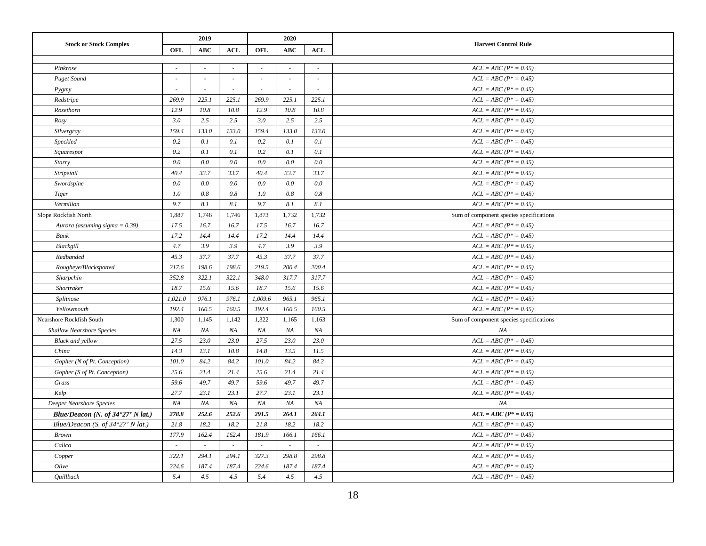|                                            |         | 2019       |            | 2020                     |            |                          |                                         |
|--------------------------------------------|---------|------------|------------|--------------------------|------------|--------------------------|-----------------------------------------|
| <b>Stock or Stock Complex</b>              | OFL     | <b>ABC</b> | <b>ACL</b> | OFL                      | <b>ABC</b> | <b>ACL</b>               | <b>Harvest Control Rule</b>             |
|                                            |         |            |            |                          |            |                          |                                         |
| Pinkrose                                   | $\sim$  | $\sim$     | $\sim$     | ÷,                       | $\sim$     | $\sim$                   | $ACL = ABC (P^* = 0.45)$                |
| <b>Puget Sound</b>                         | $\sim$  | $\sim$     | $\sim$     | $\overline{\phantom{a}}$ | $\sim$     | $\overline{\phantom{a}}$ | $ACL = ABC (P^* = 0.45)$                |
| Pygmy                                      | $\sim$  | $\sim$     | $\sim$     | $\sim$                   | $\sim$     | $\sim$                   | $ACL = ABC (P^* = 0.45)$                |
| Redstripe                                  | 269.9   | 225.1      | 225.1      | 269.9                    | 225.1      | 225.1                    | $ACL = ABC (P^* = 0.45)$                |
| Rosethorn                                  | 12.9    | 10.8       | 10.8       | 12.9                     | 10.8       | 10.8                     | $ACL = ABC (P^* = 0.45)$                |
| Rosy                                       | 3.0     | 2.5        | 2.5        | 3.0                      | 2.5        | 2.5                      | $ACL = ABC (P^* = 0.45)$                |
| Silvergray                                 | 159.4   | 133.0      | 133.0      | 159.4                    | 133.0      | 133.0                    | $ACL = ABC (P^* = 0.45)$                |
| Speckled                                   | 0.2     | 0.1        | 0.1        | 0.2                      | 0.1        | 0.1                      | $ACL = ABC (P^* = 0.45)$                |
| Squarespot                                 | 0.2     | 0.1        | 0.1        | 0.2                      | 0.1        | 0.1                      | $ACL = ABC (P^* = 0.45)$                |
| Starry                                     | 0.0     | 0.0        | 0.0        | 0.0                      | 0.0        | 0.0                      | $ACL = ABC (P^* = 0.45)$                |
| Stripetail                                 | 40.4    | 33.7       | 33.7       | 40.4                     | 33.7       | 33.7                     | $ACL = ABC (P^* = 0.45)$                |
| Swordspine                                 | 0.0     | 0.0        | 0.0        | $0.0\,$                  | 0.0        | 0.0                      | $ACL = ABC (P^* = 0.45)$                |
| Tiger                                      | 1.0     | 0.8        | 0.8        | 1.0                      | 0.8        | 0.8                      | $ACL = ABC (P^* = 0.45)$                |
| Vermilion                                  | 9.7     | 8.1        | 8.1        | 9.7                      | 8.1        | 8.1                      | $ACL = ABC (P^* = 0.45)$                |
| Slope Rockfish North                       | 1,887   | 1,746      | 1,746      | 1,873                    | 1,732      | 1,732                    | Sum of component species specifications |
| Aurora (assuming sigma = $0.39$ )          | 17.5    | 16.7       | 16.7       | 17.5                     | 16.7       | 16.7                     | $ACL = ABC (P^* = 0.45)$                |
| Bank                                       | 17.2    | 14.4       | 14.4       | 17.2                     | 14.4       | 14.4                     | $ACL = ABC (P^* = 0.45)$                |
| Blackgill                                  | 4.7     | 3.9        | 3.9        | 4.7                      | 3.9        | 3.9                      | $ACL = ABC (P^* = 0.45)$                |
| Redbanded                                  | 45.3    | 37.7       | 37.7       | 45.3                     | 37.7       | 37.7                     | $ACL = ABC (P^* = 0.45)$                |
| Rougheye/Blackspotted                      | 217.6   | 198.6      | 198.6      | 219.5                    | 200.4      | 200.4                    | $ACL = ABC (P^* = 0.45)$                |
| Sharpchin                                  | 352.8   | 322.1      | 322.1      | 348.0                    | 317.7      | 317.7                    | $ACL = ABC (P^* = 0.45)$                |
| Shortraker                                 | 18.7    | 15.6       | 15.6       | 18.7                     | 15.6       | 15.6                     | $ACL = ABC (P^* = 0.45)$                |
| Splitnose                                  | 1,021.0 | 976.1      | 976.1      | 1,009.6                  | 965.1      | 965.1                    | $ACL = ABC (P^* = 0.45)$                |
| Yellowmouth                                | 192.4   | 160.5      | 160.5      | 192.4                    | 160.5      | 160.5                    | $ACL = ABC (P^* = 0.45)$                |
| Nearshore Rockfish South                   | 1,300   | 1,145      | 1,142      | 1,322                    | 1,165      | 1,163                    | Sum of component species specifications |
| <b>Shallow Nearshore Species</b>           | $N\!A$  | NA         | $N\!A$     | NA                       | NA         | NA                       | NA                                      |
| Black and yellow                           | 27.5    | 23.0       | 23.0       | 27.5                     | 23.0       | 23.0                     | $ACL = ABC (P^* = 0.45)$                |
| China                                      | 14.3    | 13.1       | 10.8       | 14.8                     | 13.5       | 11.5                     | $ACL = ABC (P^* = 0.45)$                |
| Gopher (N of Pt. Conception)               | 101.0   | 84.2       | 84.2       | 101.0                    | 84.2       | 84.2                     | $ACL = ABC (P^* = 0.45)$                |
| Gopher (S of Pt. Conception)               | 25.6    | 21.4       | 21.4       | 25.6                     | 21.4       | 21.4                     | $ACL = ABC (P^* = 0.45)$                |
| Grass                                      | 59.6    | 49.7       | 49.7       | 59.6                     | 49.7       | 49.7                     | $ACL = ABC (P^* = 0.45)$                |
| Kelp                                       | 27.7    | 23.1       | 23.1       | 27.7                     | 23.1       | 23.1                     | $ACL = ABC (P^* = 0.45)$                |
| Deeper Nearshore Species                   | NA      | NA         | NA         | NA                       | NA         | NA                       | NA                                      |
| Blue/Deacon (N. of 34°27' N lat.)          | 278.8   | 252.6      | 252.6      | 291.5                    | 264.1      | 264.1                    | $ACL = ABC (P^* = 0.45)$                |
| Blue/Deacon (S. of $34^{\circ}27'$ N lat.) | 21.8    | 18.2       | 18.2       | 21.8                     | 18.2       | 18.2                     | $ACL = ABC (P^* = 0.45)$                |
| <b>Brown</b>                               | 177.9   | 162.4      | 162.4      | 181.9                    | 166.1      | 166.1                    | $ACL = ABC (P^* = 0.45)$                |
| Calico                                     | $\sim$  | $\sim$     |            |                          | $\sim$     | $\sim$                   | $ACL = ABC (P^* = 0.45)$                |
| Copper                                     | 322.1   | 294.1      | 294.1      | 327.3                    | 298.8      | 298.8                    | $ACL = ABC (P^* = 0.45)$                |
| Olive                                      | 224.6   | 187.4      | 187.4      | 224.6                    | 187.4      | 187.4                    | $ACL = ABC (P^* = 0.45)$                |
| Quillback                                  | 5.4     | 4.5        | 4.5        | 5.4                      | 4.5        | 4.5                      | $ACL = ABC (P^* = 0.45)$                |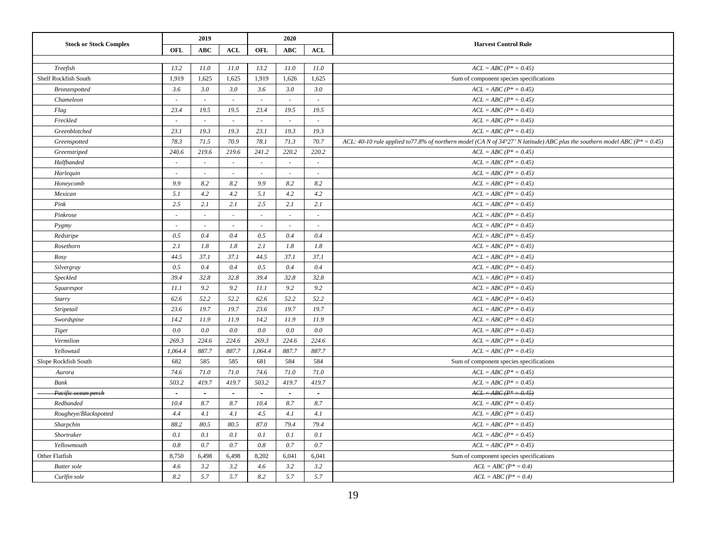|                               |                          | 2019       |        | 2020                     |                          |                             |                                                                                                                                          |
|-------------------------------|--------------------------|------------|--------|--------------------------|--------------------------|-----------------------------|------------------------------------------------------------------------------------------------------------------------------------------|
| <b>Stock or Stock Complex</b> | <b>OFL</b>               | <b>ABC</b> | ACL    | OFL                      | <b>ABC</b>               | ACL                         | <b>Harvest Control Rule</b>                                                                                                              |
|                               |                          |            |        |                          |                          |                             |                                                                                                                                          |
| Treefish                      | 13.2                     | 11.0       | 11.0   | 13.2                     | 11.0                     | 11.0                        | $ACL = ABC (P^* = 0.45)$                                                                                                                 |
| Shelf Rockfish South          | 1,919                    | 1,625      | 1,625  | 1,919                    | 1,626                    | 1,625                       | Sum of component species specifications                                                                                                  |
| Bronzespotted                 | 3.6                      | 3.0        | 3.0    | 3.6                      | 3.0                      | 3.0                         | $ACL = ABC (P^* = 0.45)$                                                                                                                 |
| Chameleon                     | $\sim$                   | $\sim$     | $\sim$ | $\sim$                   | $\sim$                   | $\sim$                      | $ACL = ABC (P^* = 0.45)$                                                                                                                 |
| Flag                          | 23.4                     | 19.5       | 19.5   | 23.4                     | 19.5                     | 19.5                        | $ACL = ABC (P^* = 0.45)$                                                                                                                 |
| Freckled                      | $\sim$                   | $\sim$     | $\sim$ | $\sim$                   | $\sim$                   | $\sim$                      | $ACL = ABC (P^* = 0.45)$                                                                                                                 |
| Greenblotched                 | 23.1                     | 19.3       | 19.3   | 23.1                     | 19.3                     | 19.3                        | $ACL = ABC (P^* = 0.45)$                                                                                                                 |
| Greenspotted                  | 78.3                     | 71.5       | 70.9   | 78.1                     | 71.3                     | 70.7                        | ACL: 40-10 rule applied to 77.8% of northern model (CA N of $34^{\circ}27'$ N latitude) ABC plus the southern model ABC ( $P^* = 0.45$ ) |
| Greenstriped                  | 240.6                    | 219.6      | 219.6  | 241.2                    | 220.2                    | 220.2                       | $ACL = ABC (P^* = 0.45)$                                                                                                                 |
| Halfbanded                    | $\sim$                   | $\sim$     | $\sim$ | $\sim$                   | $\overline{\phantom{a}}$ | $\overline{\phantom{a}}$    | $ACL = ABC (P^* = 0.45)$                                                                                                                 |
| Harlequin                     | ÷.                       | $\omega$   | $\sim$ | $\sim$                   | $\omega$                 | $\mathcal{L}_{\mathcal{A}}$ | $ACL = ABC (P^* = 0.45)$                                                                                                                 |
| Honeycomb                     | 9.9                      | 8.2        | 8.2    | 9.9                      | 8.2                      | 8.2                         | $ACL = ABC (P^* = 0.45)$                                                                                                                 |
| Mexican                       | 5.1                      | 4.2        | 4.2    | 5.1                      | 4.2                      | 4.2                         | $ACL = ABC (P* = 0.45)$                                                                                                                  |
| Pink                          | 2.5                      | 2.1        | 2.1    | 2.5                      | 2.1                      | 2.1                         | $ACL = ABC (P^* = 0.45)$                                                                                                                 |
| Pinkrose                      | $\sim$                   | $\omega$   | $\sim$ | $\sim$                   | $\omega$                 | $\sim$                      | $ACL = ABC (P^* = 0.45)$                                                                                                                 |
| Pygmy                         | $\overline{\phantom{a}}$ | $\sim$     |        | $\overline{\phantom{a}}$ | $\overline{\phantom{a}}$ | $\overline{\phantom{a}}$    | $ACL = ABC (P^* = 0.45)$                                                                                                                 |
| Redstripe                     | 0.5                      | 0.4        | 0.4    | 0.5                      | 0.4                      | 0.4                         | $ACL = ABC (P^* = 0.45)$                                                                                                                 |
| Rosethorn                     | 2.1                      | 1.8        | 1.8    | 2.1                      | 1.8                      | 1.8                         | $ACL = ABC (P^* = 0.45)$                                                                                                                 |
| Rosy                          | 44.5                     | 37.1       | 37.1   | 44.5                     | 37.1                     | 37.1                        | $ACL = ABC (P^* = 0.45)$                                                                                                                 |
| Silvergray                    | 0.5                      | 0.4        | 0.4    | 0.5                      | 0.4                      | 0.4                         | $ACL = ABC (P* = 0.45)$                                                                                                                  |
| Speckled                      | 39.4                     | 32.8       | 32.8   | 39.4                     | 32.8                     | 32.8                        | $ACL = ABC (P^* = 0.45)$                                                                                                                 |
| Squarespot                    | 11.1                     | 9.2        | 9.2    | 11.1                     | 9.2                      | 9.2                         | $ACL = ABC (P^* = 0.45)$                                                                                                                 |
| Starry                        | 62.6                     | 52.2       | 52.2   | 62.6                     | 52.2                     | 52.2                        | $ACL = ABC (P^* = 0.45)$                                                                                                                 |
| Stripetail                    | 23.6                     | 19.7       | 19.7   | 23.6                     | 19.7                     | 19.7                        | $ACL = ABC (P^* = 0.45)$                                                                                                                 |
| Swordspine                    | 14.2                     | 11.9       | 11.9   | 14.2                     | 11.9                     | 11.9                        | $ACL = ABC (P^* = 0.45)$                                                                                                                 |
| Tiger                         | 0.0                      | 0.0        | 0.0    | 0.0                      | 0.0                      | 0.0                         | $ACL = ABC (P^* = 0.45)$                                                                                                                 |
| Vermilion                     | 269.3                    | 224.6      | 224.6  | 269.3                    | 224.6                    | 224.6                       | $ACL = ABC (P^* = 0.45)$                                                                                                                 |
| Yellowtail                    | 1,064.4                  | 887.7      | 887.7  | 1,064.4                  | 887.7                    | 887.7                       | $ACL = ABC (P^* = 0.45)$                                                                                                                 |
| Slope Rockfish South          | 682                      | 585        | 585    | 681                      | 584                      | 584                         | Sum of component species specifications                                                                                                  |
| Aurora                        | 74.6                     | 71.0       | 71.0   | 74.6                     | 71.0                     | 71.0                        | $ACL = ABC (P^* = 0.45)$                                                                                                                 |
| Bank                          | 503.2                    | 419.7      | 419.7  | 503.2                    | 419.7                    | 419.7                       | $ACL = ABC (P^* = 0.45)$                                                                                                                 |
| Pacific ocean perch           | $\sim$                   | $\sim$     | $\sim$ | $\sim$                   | $\sim$                   | $\sim$                      | $ACL = ABC (P^* = 0.45)$                                                                                                                 |
| Redbanded                     | 10.4                     | 8.7        | 8.7    | 10.4                     | 8.7                      | 8.7                         | $ACL = ABC (P^* = 0.45)$                                                                                                                 |
| Rougheye/Blackspotted         | 4.4                      | 4.1        | 4.1    | 4.5                      | 4.1                      | 4.1                         | $ACL = ABC (P^* = 0.45)$                                                                                                                 |
| Sharpchin                     | 88.2                     | 80.5       | 80.5   | 87.0                     | 79.4                     | 79.4                        | $ACL = ABC (P^* = 0.45)$                                                                                                                 |
| Shortraker                    | 0.1                      | 0.1        | 0.1    | 0.1                      | 0.1                      | 0.1                         | $ACL = ABC (P^* = 0.45)$                                                                                                                 |
| Yellowmouth                   | 0.8                      | 0.7        | 0.7    | 0.8                      | 0.7                      | 0.7                         | $ACL = ABC (P^* = 0.45)$                                                                                                                 |
| Other Flatfish                | 8,750                    | 6,498      | 6,498  | 8,202                    | 6,041                    | 6,041                       | Sum of component species specifications                                                                                                  |
| <b>Butter</b> sole            | 4.6                      | 3.2        | 3.2    | 4.6                      | 3.2                      | 3.2                         | $ACL = ABC (P^* = 0.4)$                                                                                                                  |
| Curlfin sole                  | 8.2                      | 5.7        | 5.7    | 8.2                      | 5.7                      | 5.7                         | $ACL = ABC (P^* = 0.4)$                                                                                                                  |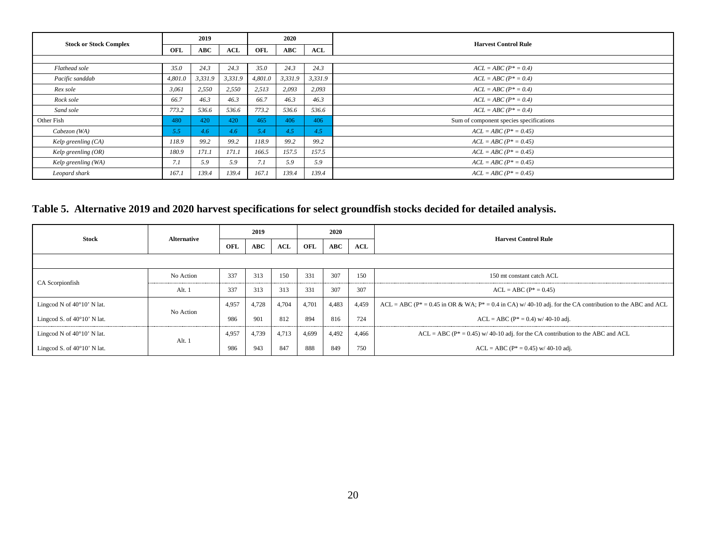| <b>Stock or Stock Complex</b> |         | 2019    |            | 2020    |            |         |                                         |
|-------------------------------|---------|---------|------------|---------|------------|---------|-----------------------------------------|
|                               | OFL     | ABC     | $\bf{ACL}$ | OFL     | <b>ABC</b> | ACL     | <b>Harvest Control Rule</b>             |
|                               |         |         |            |         |            |         |                                         |
| Flathead sole                 | 35.0    | 24.3    | 24.3       | 35.0    | 24.3       | 24.3    | $ACL = ABC (P^* = 0.4)$                 |
| Pacific sanddab               | 4,801.0 | 3,331.9 | 3,331.9    | 4,801.0 | 3,331.9    | 3,331.9 | $ACL = ABC (P^* = 0.4)$                 |
| Rex sole                      | 3,061   | 2,550   | 2,550      | 2,513   | 2,093      | 2,093   | $ACL = ABC (P^* = 0.4)$                 |
| Rock sole                     | 66.7    | 46.3    | 46.3       | 66.7    | 46.3       | 46.3    | $ACL = ABC (P^* = 0.4)$                 |
| Sand sole                     | 773.2   | 536.6   | 536.6      | 773.2   | 536.6      | 536.6   | $ACL = ABC (P^* = 0.4)$                 |
| Other Fish                    | 480     | 420     | 420        | 465     | 406        | 406     | Sum of component species specifications |
| Cabezon (WA)                  | 5.5     | 4.6     | 4.6        | 5.4     | 4.5        | 4.5     | $ACL = ABC (P^* = 0.45)$                |
| Kelp greenling (CA)           | 118.9   | 99.2    | 99.2       | 118.9   | 99.2       | 99.2    | $ACL = ABC (P^* = 0.45)$                |
| Kelp greenling $(OR)$         | 180.9   | 171.1   | 171.1      | 166.5   | 157.5      | 157.5   | $ACL = ABC (P^* = 0.45)$                |
| Kelp greenling (WA)           | 7.1     | 5.9     | 5.9        | 7.1     | 5.9        | 5.9     | $ACL = ABC (P^* = 0.45)$                |
| Leopard shark                 | 167.1   | 139.4   | 139.4      | 167.1   | 139.4      | 139.4   | $ACL = ABC (P^* = 0.45)$                |

## **Table 5. Alternative 2019 and 2020 harvest specifications for select groundfish stocks decided for detailed analysis.**

<span id="page-19-0"></span>

| <b>Stock</b>                         |                    |                                                     | 2019  |                             | 2020  |       |       |                                                                                                                 |  |  |  |  |  |
|--------------------------------------|--------------------|-----------------------------------------------------|-------|-----------------------------|-------|-------|-------|-----------------------------------------------------------------------------------------------------------------|--|--|--|--|--|
|                                      | <b>Alternative</b> | ABC<br>$\bf{ACL}$<br>OFL<br>$\bf ABC$<br>OFL<br>ACL |       | <b>Harvest Control Rule</b> |       |       |       |                                                                                                                 |  |  |  |  |  |
|                                      |                    |                                                     |       |                             |       |       |       |                                                                                                                 |  |  |  |  |  |
| CA Scorpionfish                      | No Action          | 337                                                 | 313   | 150                         | 331   | 307   | 150   | 150 mt constant catch ACL                                                                                       |  |  |  |  |  |
|                                      | Alt. 1             | 337                                                 | 313   | 313                         | 331   | 307   | 307   | $ACL = ABC (P^* = 0.45)$                                                                                        |  |  |  |  |  |
| Lingcod N of $40^{\circ}10'$ N lat.  |                    | 4,957                                               | 4,728 | 4,704                       | 4,701 | 4,483 | 4,459 | ACL = ABC ( $P^*$ = 0.45 in OR & WA; $P^*$ = 0.4 in CA) w/40-10 adj. for the CA contribution to the ABC and ACL |  |  |  |  |  |
| Lingcod S. of $40^{\circ}10'$ N lat. | No Action          | 986                                                 | 901   | 812                         | 894   | 816   | 724   | $ACL = ABC (P^* = 0.4)$ w/ 40-10 adj.                                                                           |  |  |  |  |  |
| Lingcod N of $40^{\circ}10'$ N lat.  |                    | 4,957                                               | 4,739 | 4,713                       | 4,699 | 4,492 | 4,466 | $ACL = ABC (P^* = 0.45)$ w/ 40-10 adj. for the CA contribution to the ABC and ACL                               |  |  |  |  |  |
| Lingcod S. of $40^{\circ}10'$ N lat. | Alt. 1             | 986                                                 | 943   | 847                         | 888   | 849   | 750   | $ACL = ABC (P^* = 0.45)$ w/ 40-10 adj.                                                                          |  |  |  |  |  |